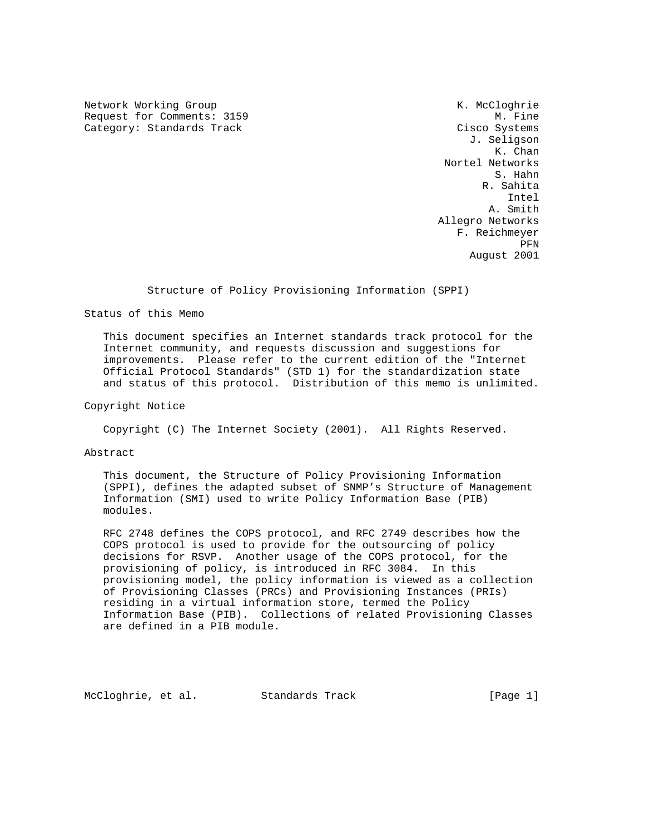Network Working Group Network Working Group Network Cloghrie Request for Comments: 3159 M. Fine Category: Standards Track Cisco Systems

 J. Seligson K. Chan Nortel Networks S. Hahn R. Sahita Intel A. Smith Allegro Networks F. Reichmeyer **PFN** August 2001

## Structure of Policy Provisioning Information (SPPI)

Status of this Memo

 This document specifies an Internet standards track protocol for the Internet community, and requests discussion and suggestions for improvements. Please refer to the current edition of the "Internet Official Protocol Standards" (STD 1) for the standardization state and status of this protocol. Distribution of this memo is unlimited.

Copyright Notice

Copyright (C) The Internet Society (2001). All Rights Reserved.

Abstract

 This document, the Structure of Policy Provisioning Information (SPPI), defines the adapted subset of SNMP's Structure of Management Information (SMI) used to write Policy Information Base (PIB) modules.

 RFC 2748 defines the COPS protocol, and RFC 2749 describes how the COPS protocol is used to provide for the outsourcing of policy decisions for RSVP. Another usage of the COPS protocol, for the provisioning of policy, is introduced in RFC 3084. In this provisioning model, the policy information is viewed as a collection of Provisioning Classes (PRCs) and Provisioning Instances (PRIs) residing in a virtual information store, termed the Policy Information Base (PIB). Collections of related Provisioning Classes are defined in a PIB module.

McCloghrie, et al. Standards Track [Page 1]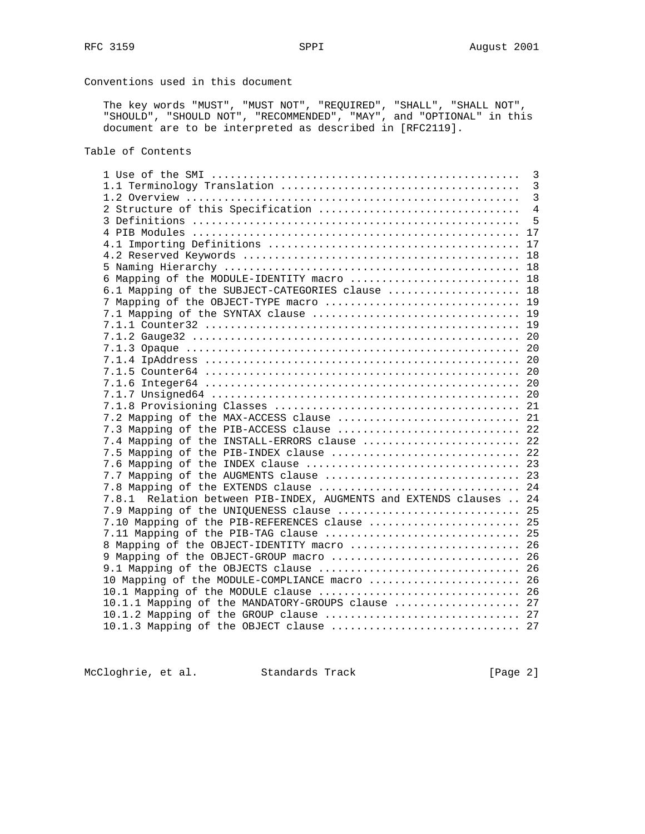# Conventions used in this document

 The key words "MUST", "MUST NOT", "REQUIRED", "SHALL", "SHALL NOT", "SHOULD", "SHOULD NOT", "RECOMMENDED", "MAY", and "OPTIONAL" in this document are to be interpreted as described in [RFC2119].

## Table of Contents

|                                                                    | 3              |
|--------------------------------------------------------------------|----------------|
|                                                                    | $\overline{3}$ |
|                                                                    | $\overline{3}$ |
| 2 Structure of this Specification                                  | $\overline{4}$ |
|                                                                    | 5              |
|                                                                    | 17             |
|                                                                    | 17             |
|                                                                    | 18             |
|                                                                    |                |
| 6 Mapping of the MODULE-IDENTITY macro  18                         |                |
| 6.1 Mapping of the SUBJECT-CATEGORIES clause  18                   |                |
| 7 Mapping of the OBJECT-TYPE macro  19                             |                |
|                                                                    |                |
|                                                                    |                |
|                                                                    |                |
|                                                                    |                |
|                                                                    |                |
|                                                                    |                |
|                                                                    |                |
|                                                                    |                |
|                                                                    |                |
|                                                                    |                |
| 7.3 Mapping of the PIB-ACCESS clause  22                           |                |
| 7.4 Mapping of the INSTALL-ERRORS clause  22                       |                |
| 7.5 Mapping of the PIB-INDEX clause  22                            |                |
|                                                                    |                |
| 7.7 Mapping of the AUGMENTS clause  23                             |                |
| 7.8 Mapping of the EXTENDS clause  24                              |                |
| 7.8.1 Relation between PIB-INDEX, AUGMENTS and EXTENDS clauses  24 |                |
| 7.9 Mapping of the UNIQUENESS clause  25                           |                |
| 7.10 Mapping of the PIB-REFERENCES clause  25                      |                |
|                                                                    |                |
| 8 Mapping of the OBJECT-IDENTITY macro  26                         |                |
|                                                                    |                |
|                                                                    |                |
| 10 Mapping of the MODULE-COMPLIANCE macro  26                      |                |
| 10.1 Mapping of the MODULE clause  26                              |                |
| 10.1.1 Mapping of the MANDATORY-GROUPS clause  27                  |                |
|                                                                    |                |
| 10.1.3 Mapping of the OBJECT clause  27                            |                |
|                                                                    |                |

McCloghrie, et al. Standards Track [Page 2]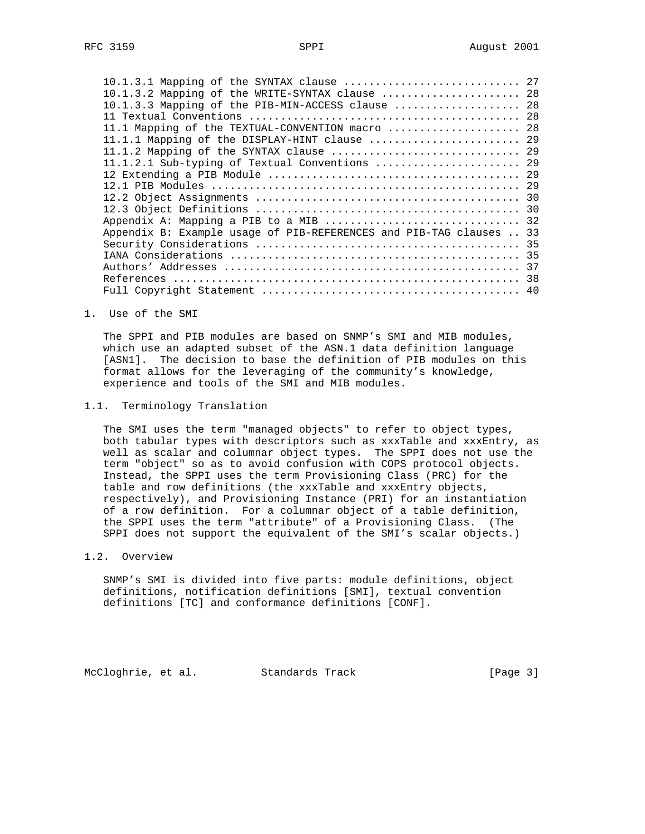| 10.1.3.1 Mapping of the SYNTAX clause  27                           |  |
|---------------------------------------------------------------------|--|
| 10.1.3.2 Mapping of the WRITE-SYNTAX clause  28                     |  |
| 10.1.3.3 Mapping of the PIB-MIN-ACCESS clause  28                   |  |
|                                                                     |  |
| 11.1 Mapping of the TEXTUAL-CONVENTION macro  28                    |  |
| 11.1.1 Mapping of the DISPLAY-HINT clause  29                       |  |
|                                                                     |  |
| 11.1.2.1 Sub-typing of Textual Conventions  29                      |  |
|                                                                     |  |
|                                                                     |  |
|                                                                     |  |
|                                                                     |  |
|                                                                     |  |
| Appendix B: Example usage of PIB-REFERENCES and PIB-TAG clauses  33 |  |
|                                                                     |  |
|                                                                     |  |
|                                                                     |  |
|                                                                     |  |
|                                                                     |  |

1. Use of the SMI

 The SPPI and PIB modules are based on SNMP's SMI and MIB modules, which use an adapted subset of the ASN.1 data definition language [ASN1]. The decision to base the definition of PIB modules on this format allows for the leveraging of the community's knowledge, experience and tools of the SMI and MIB modules.

### 1.1. Terminology Translation

 The SMI uses the term "managed objects" to refer to object types, both tabular types with descriptors such as xxxTable and xxxEntry, as well as scalar and columnar object types. The SPPI does not use the term "object" so as to avoid confusion with COPS protocol objects. Instead, the SPPI uses the term Provisioning Class (PRC) for the table and row definitions (the xxxTable and xxxEntry objects, respectively), and Provisioning Instance (PRI) for an instantiation of a row definition. For a columnar object of a table definition, the SPPI uses the term "attribute" of a Provisioning Class. (The SPPI does not support the equivalent of the SMI's scalar objects.)

#### 1.2. Overview

 SNMP's SMI is divided into five parts: module definitions, object definitions, notification definitions [SMI], textual convention definitions [TC] and conformance definitions [CONF].

McCloghrie, et al. Standards Track [Page 3]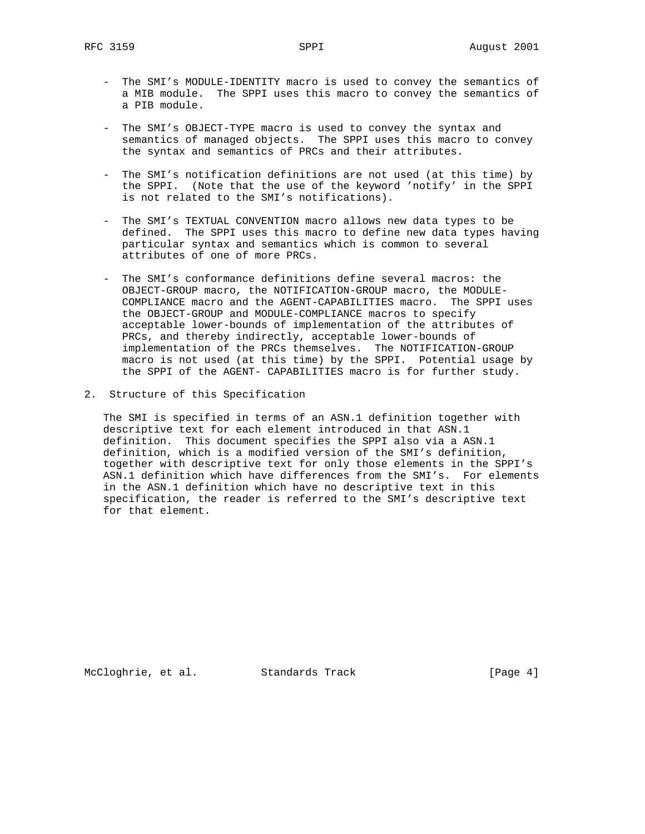- The SMI's MODULE-IDENTITY macro is used to convey the semantics of a MIB module. The SPPI uses this macro to convey the semantics of a PIB module.
- The SMI's OBJECT-TYPE macro is used to convey the syntax and semantics of managed objects. The SPPI uses this macro to convey the syntax and semantics of PRCs and their attributes.
- The SMI's notification definitions are not used (at this time) by the SPPI. (Note that the use of the keyword 'notify' in the SPPI is not related to the SMI's notifications).
- The SMI's TEXTUAL CONVENTION macro allows new data types to be defined. The SPPI uses this macro to define new data types having particular syntax and semantics which is common to several attributes of one of more PRCs.
- The SMI's conformance definitions define several macros: the OBJECT-GROUP macro, the NOTIFICATION-GROUP macro, the MODULE- COMPLIANCE macro and the AGENT-CAPABILITIES macro. The SPPI uses the OBJECT-GROUP and MODULE-COMPLIANCE macros to specify acceptable lower-bounds of implementation of the attributes of PRCs, and thereby indirectly, acceptable lower-bounds of implementation of the PRCs themselves. The NOTIFICATION-GROUP macro is not used (at this time) by the SPPI. Potential usage by the SPPI of the AGENT- CAPABILITIES macro is for further study.
- 2. Structure of this Specification

 The SMI is specified in terms of an ASN.1 definition together with descriptive text for each element introduced in that ASN.1 definition. This document specifies the SPPI also via a ASN.1 definition, which is a modified version of the SMI's definition, together with descriptive text for only those elements in the SPPI's ASN.1 definition which have differences from the SMI's. For elements in the ASN.1 definition which have no descriptive text in this specification, the reader is referred to the SMI's descriptive text for that element.

McCloghrie, et al. Standards Track [Page 4]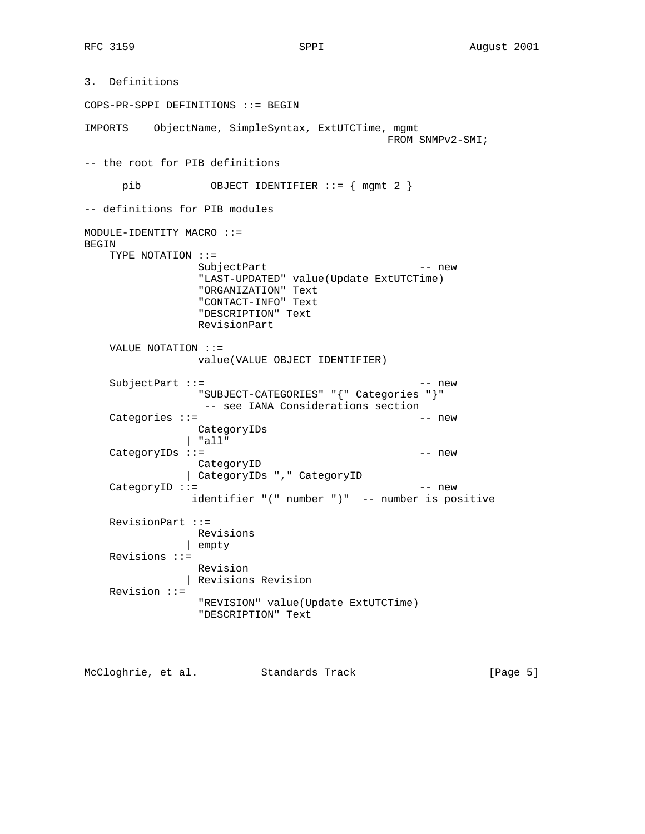3. Definitions COPS-PR-SPPI DEFINITIONS ::= BEGIN IMPORTS ObjectName, SimpleSyntax, ExtUTCTime, mgmt FROM SNMPv2-SMI; -- the root for PIB definitions pib 0BJECT IDENTIFIER ::= { mgmt 2 } -- definitions for PIB modules MODULE-IDENTITY MACRO ::= BEGIN TYPE NOTATION ::= SubjectPart -- new "LAST-UPDATED" value(Update ExtUTCTime) "ORGANIZATION" Text "CONTACT-INFO" Text "DESCRIPTION" Text RevisionPart VALUE NOTATION ::= value(VALUE OBJECT IDENTIFIER) SubjectPart ::= -- new "SUBJECT-CATEGORIES" "{" Categories "}" -- see IANA Considerations section  $Categorical: :=$  --new CategoryIDs | "all" CategoryIDs ::= -- new CategoryID | CategoryIDs "," CategoryID  $CategoryID ::=$  -- new identifier "(" number ")" -- number is positive RevisionPart ::= Revisions | empty Revisions ::= Revision | Revisions Revision Revision ::= "REVISION" value(Update ExtUTCTime) "DESCRIPTION" Text

McCloghrie, et al. Standards Track [Page 5]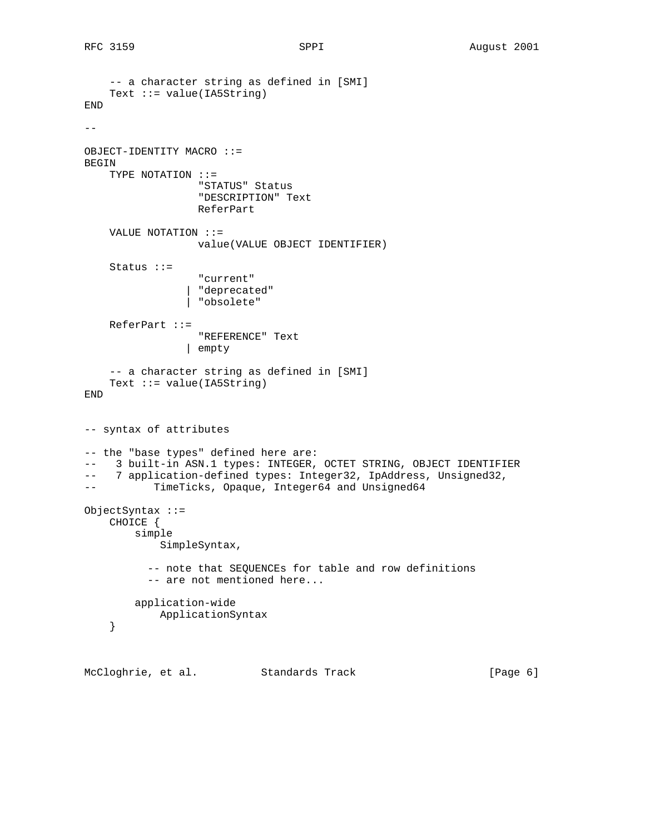```
 -- a character string as defined in [SMI]
    Text ::= value(IA5String)
END
-OBJECT-IDENTITY MACRO ::=
BEGIN
     TYPE NOTATION ::=
                   "STATUS" Status
                   "DESCRIPTION" Text
                   ReferPart
     VALUE NOTATION ::=
                   value(VALUE OBJECT IDENTIFIER)
     Status ::=
                   "current"
                  | "deprecated"
                 | "obsolete"
     ReferPart ::=
                  "REFERENCE" Text
                 | empty
     -- a character string as defined in [SMI]
     Text ::= value(IA5String)
END
-- syntax of attributes
-- the "base types" defined here are:
-- 3 built-in ASN.1 types: INTEGER, OCTET STRING, OBJECT IDENTIFIER
-- 7 application-defined types: Integer32, IpAddress, Unsigned32,
-- TimeTicks, Opaque, Integer64 and Unsigned64
ObjectSyntax ::=
     CHOICE {
         simple
             SimpleSyntax,
           -- note that SEQUENCEs for table and row definitions
           -- are not mentioned here...
         application-wide
            ApplicationSyntax
     }
```
McCloghrie, et al. Standards Track [Page 6]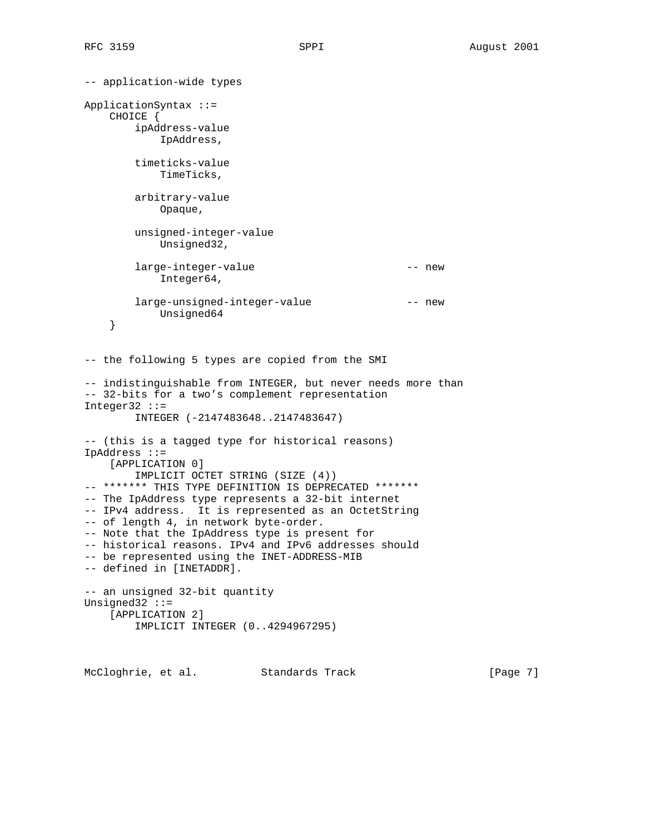```
-- application-wide types
ApplicationSyntax ::=
    CHOICE {
        ipAddress-value
            IpAddress,
        timeticks-value
            TimeTicks,
        arbitrary-value
            Opaque,
        unsigned-integer-value
            Unsigned32,
        large-integer-value -- new
            Integer64,
       large-unsigned-integer-value -- new
            Unsigned64
     }
-- the following 5 types are copied from the SMI
-- indistinguishable from INTEGER, but never needs more than
-- 32-bits for a two's complement representation
Integer32 ::=
         INTEGER (-2147483648..2147483647)
-- (this is a tagged type for historical reasons)
IpAddress ::=
     [APPLICATION 0]
        IMPLICIT OCTET STRING (SIZE (4))
-- ******* THIS TYPE DEFINITION IS DEPRECATED *******
-- The IpAddress type represents a 32-bit internet
-- IPv4 address. It is represented as an OctetString
-- of length 4, in network byte-order.
-- Note that the IpAddress type is present for
-- historical reasons. IPv4 and IPv6 addresses should
-- be represented using the INET-ADDRESS-MIB
-- defined in [INETADDR].
-- an unsigned 32-bit quantity
Unsigned32 ::=
     [APPLICATION 2]
        IMPLICIT INTEGER (0..4294967295)
```
McCloghrie, et al. Standards Track [Page 7]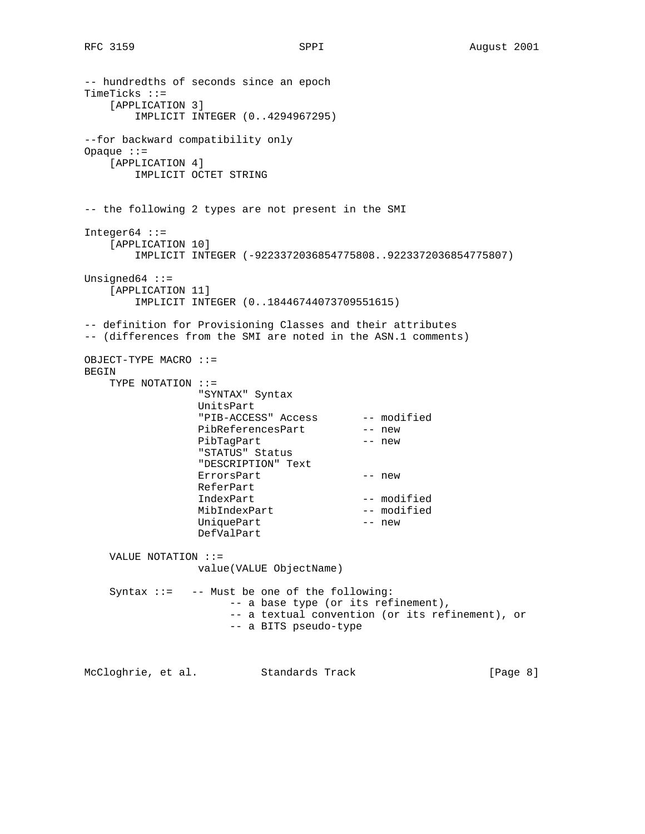-- hundredths of seconds since an epoch TimeTicks ::= [APPLICATION 3] IMPLICIT INTEGER (0..4294967295) --for backward compatibility only Opaque ::= [APPLICATION 4] IMPLICIT OCTET STRING -- the following 2 types are not present in the SMI  $Integer64 :: =$  [APPLICATION 10] IMPLICIT INTEGER (-9223372036854775808..9223372036854775807) Unsigned64  $::=$  [APPLICATION 11] IMPLICIT INTEGER (0..18446744073709551615) -- definition for Provisioning Classes and their attributes -- (differences from the SMI are noted in the ASN.1 comments) OBJECT-TYPE MACRO ::= BEGIN TYPE NOTATION ::= "SYNTAX" Syntax UnitsPart "PIB-ACCESS" Access -- modified PibReferencesPart -- new PibTagPart -- new "STATUS" Status "DESCRIPTION" Text ErrorsPart -- new ReferPart IndexPart -- modified MibIndexPart -- modified UniquePart -- new DefValPart VALUE NOTATION ::= value(VALUE ObjectName) Syntax ::= -- Must be one of the following: -- a base type (or its refinement), -- a textual convention (or its refinement), or -- a BITS pseudo-type McCloghrie, et al. Standards Track [Page 8]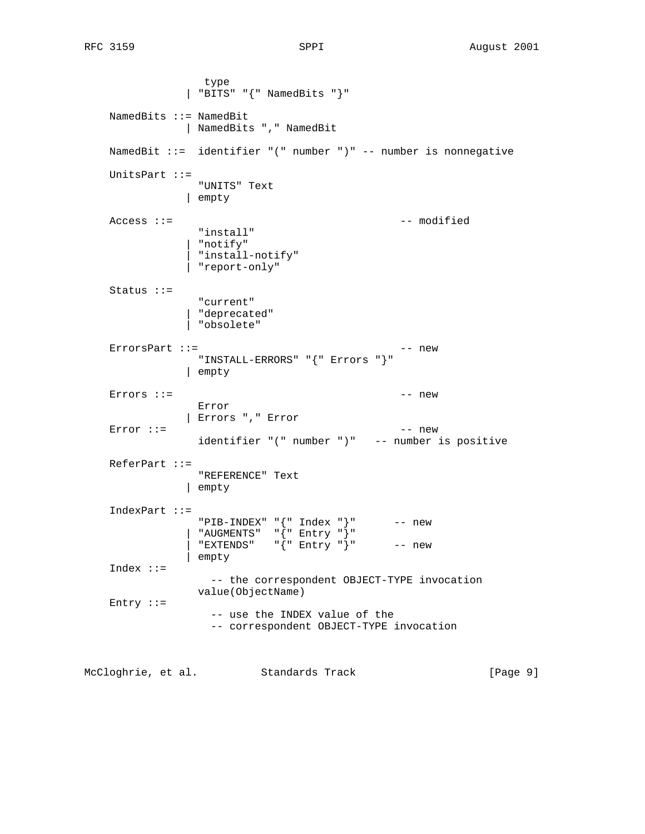type | "BITS" "{" NamedBits "}" NamedBits ::= NamedBit | NamedBits "," NamedBit NamedBit ::= identifier "(" number ")" -- number is nonnegative UnitsPart ::= "UNITS" Text | empty Access ::= -- modified "install" | "notify" | "install-notify" | "report-only" Status ::= "current" | "deprecated" | "obsolete"  $Error$   $Part$  ::= "INSTALL-ERRORS" "{" Errors "}" | empty Errors  $\cdot$  :  $=$  Error | Errors "," Error  $Error ::=$  -- new identifier "(" number ")" -- number is positive ReferPart ::= "REFERENCE" Text | empty IndexPart ::= "PIB-INDEX" "{" Index "}" -- new | "AUGMENTS" "{" Entry "}" | "EXTENDS" "{" Entry "}" -- new | empty Index ::= -- the correspondent OBJECT-TYPE invocation value(ObjectName) Entry ::= -- use the INDEX value of the -- correspondent OBJECT-TYPE invocation

McCloghrie, et al. Standards Track [Page 9]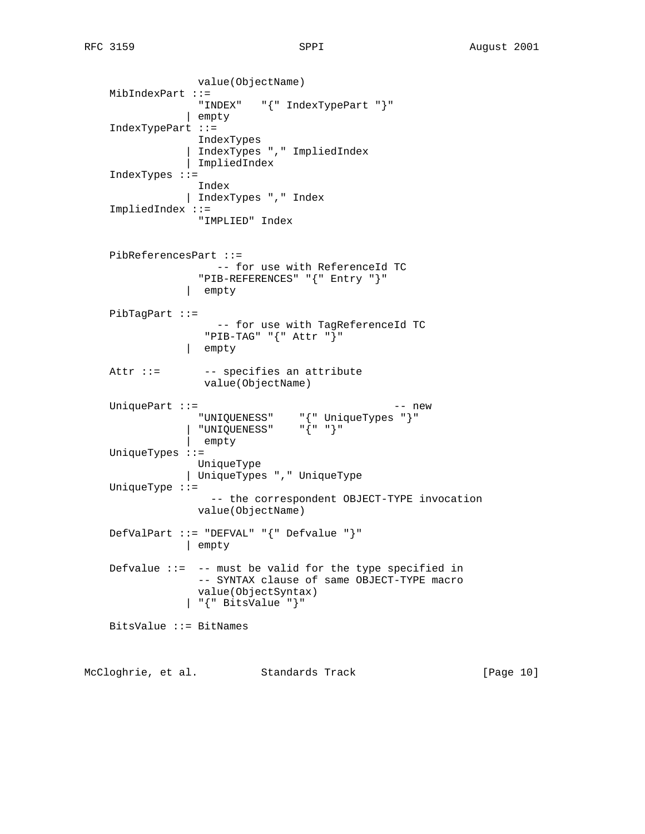value(ObjectName) MibIndexPart ::= "INDEX" "{" IndexTypePart "}" | empty IndexTypePart ::= IndexTypes | IndexTypes "," ImpliedIndex | ImpliedIndex IndexTypes ::= Index | IndexTypes "," Index ImpliedIndex ::= "IMPLIED" Index PibReferencesPart ::= -- for use with ReferenceId TC "PIB-REFERENCES" "{" Entry "}" | empty PibTagPart ::= -- for use with TagReferenceId TC "PIB-TAG" "{" Attr "}" | empty Attr ::= -- specifies an attribute value(ObjectName) UniquePart ::= -- new "UNIQUENESS" "{" UniqueTypes "}" | "UNIQUENESS" "{" "}" | empty UniqueTypes ::= UniqueType | UniqueTypes "," UniqueType UniqueType ::= -- the correspondent OBJECT-TYPE invocation value(ObjectName) DefValPart ::= "DEFVAL" "{" Defvalue "}" | empty Defvalue  $::= -$ - must be valid for the type specified in -- SYNTAX clause of same OBJECT-TYPE macro value(ObjectSyntax) | "{" BitsValue "}" BitsValue ::= BitNames McCloghrie, et al. Standards Track [Page 10]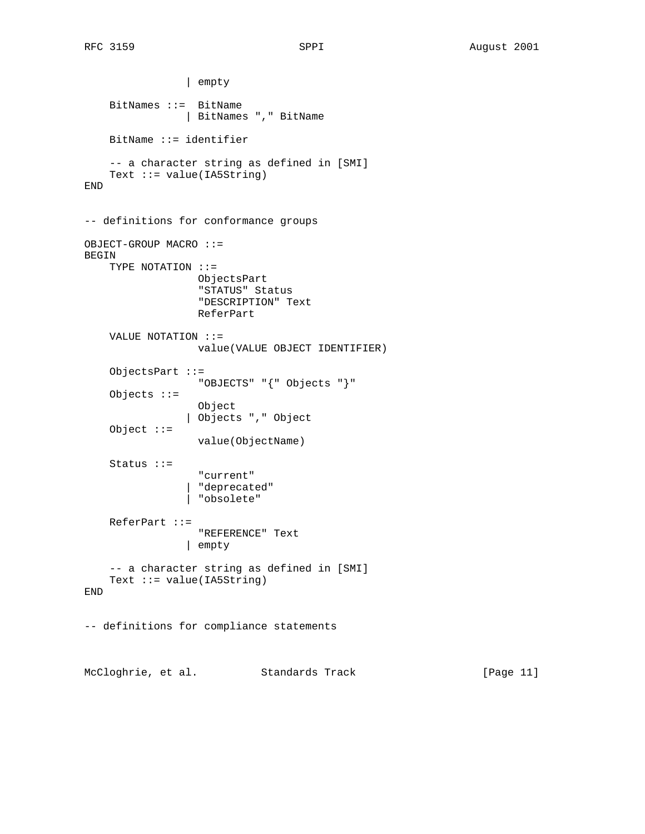| empty BitNames ::= BitName | BitNames "," BitName BitName ::= identifier -- a character string as defined in [SMI] Text  $::=$  value(IA5String) END -- definitions for conformance groups OBJECT-GROUP MACRO ::= BEGIN TYPE NOTATION ::= ObjectsPart "STATUS" Status "DESCRIPTION" Text ReferPart VALUE NOTATION ::= value(VALUE OBJECT IDENTIFIER) ObjectsPart ::= "OBJECTS" "{" Objects "}" Objects ::= Object | Objects "," Object Object ::= value(ObjectName) Status ::= "current" | "deprecated" | "obsolete" ReferPart ::= "REFERENCE" Text | empty -- a character string as defined in [SMI] Text  $::=$  value(IA5String) END -- definitions for compliance statements McCloghrie, et al. Standards Track [Page 11]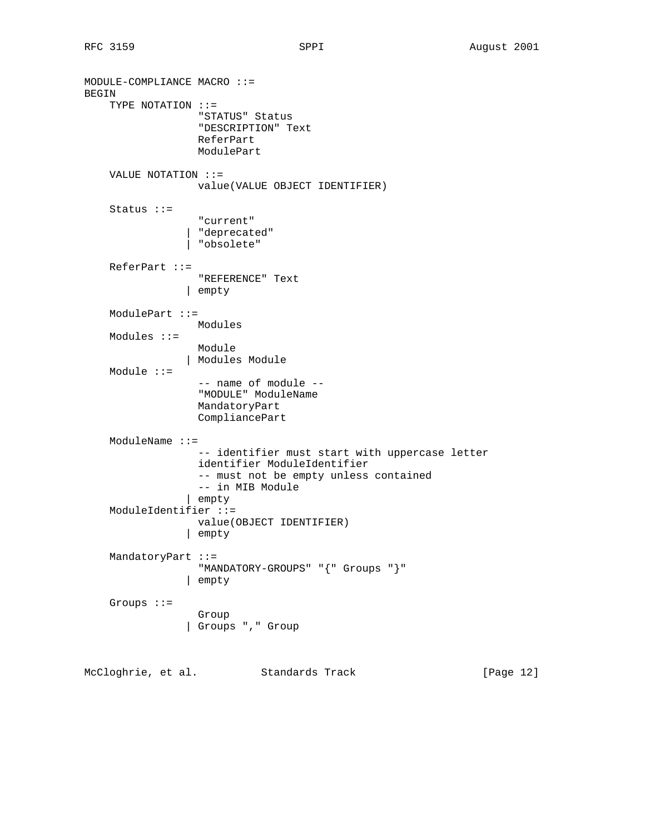```
MODULE-COMPLIANCE MACRO ::=
BEGIN
     TYPE NOTATION ::=
                    "STATUS" Status
                    "DESCRIPTION" Text
                   ReferPart
                   ModulePart
     VALUE NOTATION ::=
                   value(VALUE OBJECT IDENTIFIER)
     Status ::=
                    "current"
                  | "deprecated"
                  | "obsolete"
     ReferPart ::=
                   "REFERENCE" Text
                 | empty
     ModulePart ::=
                  Modules
     Modules ::=
                  Module
                 | Modules Module
     Module ::=
                    -- name of module --
                   "MODULE" ModuleName
                   MandatoryPart
                   CompliancePart
     ModuleName ::=
                   -- identifier must start with uppercase letter
                   identifier ModuleIdentifier
                   -- must not be empty unless contained
                    -- in MIB Module
                  | empty
     ModuleIdentifier ::=
                   value(OBJECT IDENTIFIER)
                  | empty
     MandatoryPart ::=
                   "MANDATORY-GROUPS" "{" Groups "}"
                  | empty
     Groups ::=
                   Group
                  | Groups "," Group
```
McCloghrie, et al. Standards Track [Page 12]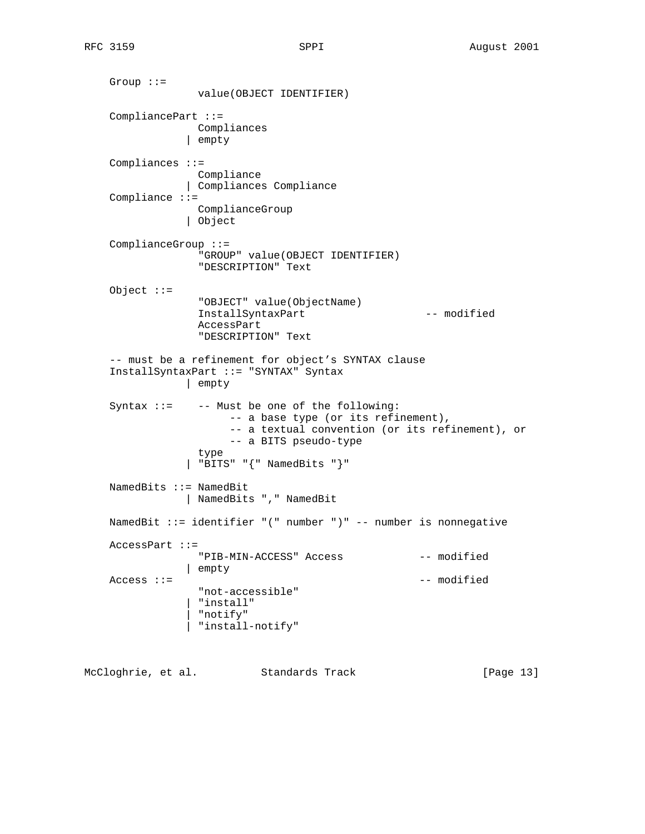Group ::= value(OBJECT IDENTIFIER) CompliancePart ::= Compliances | empty Compliances ::= Compliance | Compliances Compliance Compliance ::= ComplianceGroup | Object ComplianceGroup ::= "GROUP" value(OBJECT IDENTIFIER) "DESCRIPTION" Text Object ::= "OBJECT" value(ObjectName) InstallSyntaxPart -- modified AccessPart "DESCRIPTION" Text -- must be a refinement for object's SYNTAX clause InstallSyntaxPart ::= "SYNTAX" Syntax | empty Syntax ::= -- Must be one of the following: -- a base type (or its refinement), -- a textual convention (or its refinement), or -- a BITS pseudo-type type | "BITS" "{" NamedBits "}" NamedBits ::= NamedBit | NamedBits "," NamedBit NamedBit ::= identifier "(" number ")" -- number is nonnegative AccessPart ::= "PIB-MIN-ACCESS" Access -- modified | empty Access ::=  $---$  modified "not-accessible" | "install" | "notify" | "install-notify"

McCloghrie, et al. Standards Track [Page 13]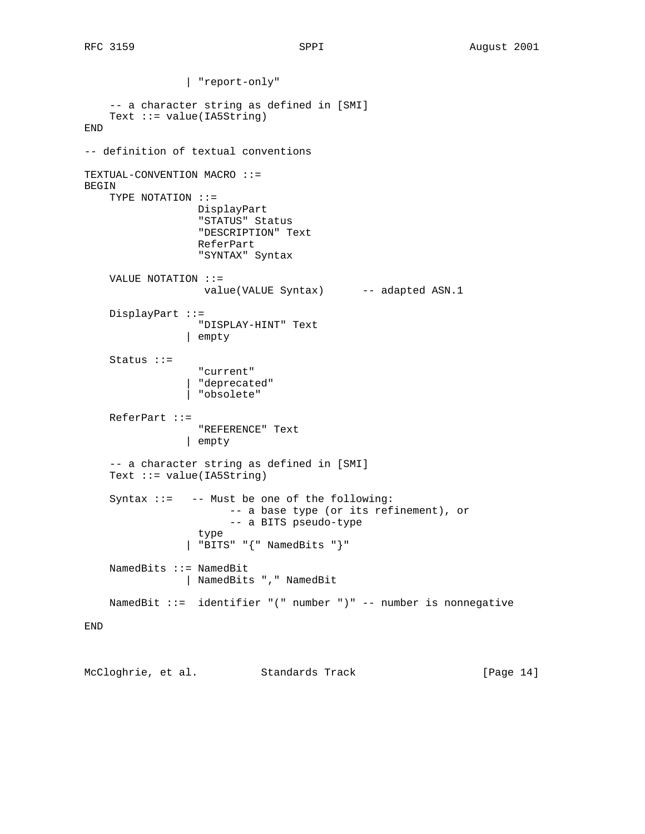| "report-only" -- a character string as defined in [SMI] Text ::= value(IA5String) END -- definition of textual conventions TEXTUAL-CONVENTION MACRO ::= BEGIN TYPE NOTATION ::= DisplayPart "STATUS" Status "DESCRIPTION" Text ReferPart "SYNTAX" Syntax VALUE NOTATION ::= value(VALUE Syntax) -- adapted ASN.1 DisplayPart ::= "DISPLAY-HINT" Text | empty Status ::= "current" | "deprecated" | "obsolete" ReferPart ::= "REFERENCE" Text | empty -- a character string as defined in [SMI] Text ::= value(IA5String) Syntax ::= -- Must be one of the following: -- a base type (or its refinement), or -- a BITS pseudo-type type | "BITS" "{" NamedBits "}" NamedBits ::= NamedBit | NamedBits "," NamedBit NamedBit ::= identifier "(" number ")" -- number is nonnegative END

McCloghrie, et al. Standards Track [Page 14]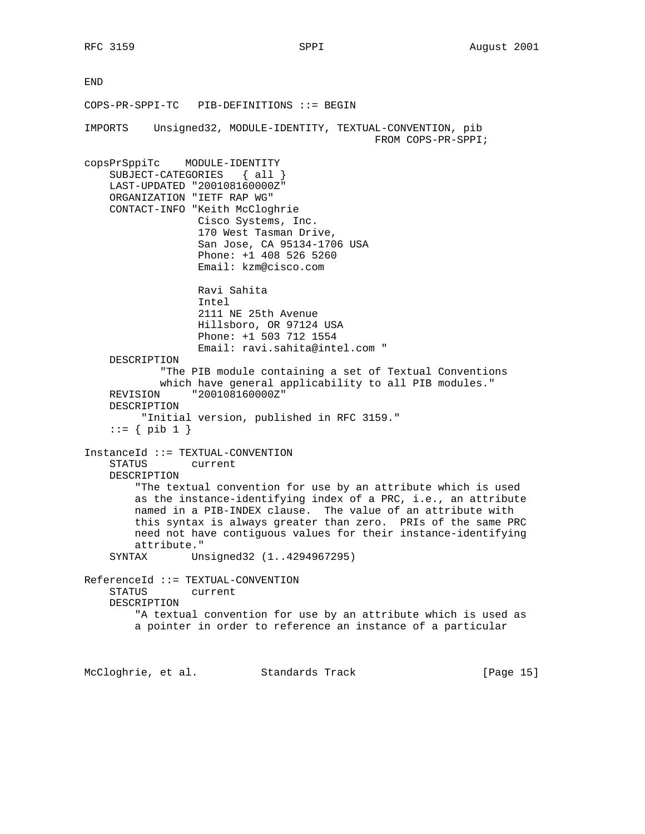END COPS-PR-SPPI-TC PIB-DEFINITIONS ::= BEGIN IMPORTS Unsigned32, MODULE-IDENTITY, TEXTUAL-CONVENTION, pib FROM COPS-PR-SPPI; copsPrSppiTc MODULE-IDENTITY SUBJECT-CATEGORIES { all } LAST-UPDATED "200108160000Z" ORGANIZATION "IETF RAP WG" CONTACT-INFO "Keith McCloghrie Cisco Systems, Inc. 170 West Tasman Drive, San Jose, CA 95134-1706 USA Phone: +1 408 526 5260 Email: kzm@cisco.com Ravi Sahita Intel 2111 NE 25th Avenue Hillsboro, OR 97124 USA Phone: +1 503 712 1554 Email: ravi.sahita@intel.com " DESCRIPTION "The PIB module containing a set of Textual Conventions which have general applicability to all PIB modules." REVISION "200108160000Z" DESCRIPTION "Initial version, published in RFC 3159."  $::= \{ \text{ pib } 1 \}$ InstanceId ::= TEXTUAL-CONVENTION STATUS current DESCRIPTION "The textual convention for use by an attribute which is used as the instance-identifying index of a PRC, i.e., an attribute named in a PIB-INDEX clause. The value of an attribute with this syntax is always greater than zero. PRIs of the same PRC need not have contiguous values for their instance-identifying attribute." SYNTAX Unsigned32 (1..4294967295) ReferenceId ::= TEXTUAL-CONVENTION STATUS current DESCRIPTION "A textual convention for use by an attribute which is used as a pointer in order to reference an instance of a particular McCloghrie, et al. Standards Track [Page 15]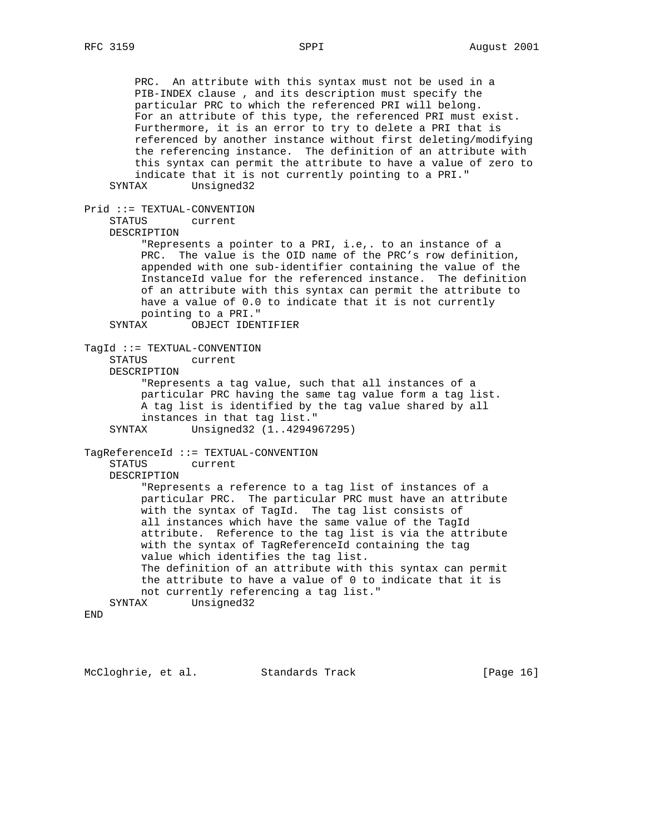PRC. An attribute with this syntax must not be used in a PIB-INDEX clause , and its description must specify the particular PRC to which the referenced PRI will belong. For an attribute of this type, the referenced PRI must exist. Furthermore, it is an error to try to delete a PRI that is referenced by another instance without first deleting/modifying the referencing instance. The definition of an attribute with this syntax can permit the attribute to have a value of zero to indicate that it is not currently pointing to a PRI." SYNTAX Unsigned32 Prid ::= TEXTUAL-CONVENTION STATUS current DESCRIPTION "Represents a pointer to a PRI, i.e,. to an instance of a PRC. The value is the OID name of the PRC's row definition, appended with one sub-identifier containing the value of the InstanceId value for the referenced instance. The definition of an attribute with this syntax can permit the attribute to have a value of 0.0 to indicate that it is not currently pointing to a PRI." SYNTAX OBJECT IDENTIFIER TagId ::= TEXTUAL-CONVENTION STATUS current DESCRIPTION "Represents a tag value, such that all instances of a particular PRC having the same tag value form a tag list. A tag list is identified by the tag value shared by all instances in that tag list." SYNTAX Unsigned32 (1..4294967295) TagReferenceId ::= TEXTUAL-CONVENTION STATUS current DESCRIPTION "Represents a reference to a tag list of instances of a particular PRC. The particular PRC must have an attribute with the syntax of TagId. The tag list consists of all instances which have the same value of the TagId attribute. Reference to the tag list is via the attribute with the syntax of TagReferenceId containing the tag value which identifies the tag list. The definition of an attribute with this syntax can permit the attribute to have a value of 0 to indicate that it is not currently referencing a tag list." SYNTAX Unsigned32

END

McCloghrie, et al. Standards Track [Page 16]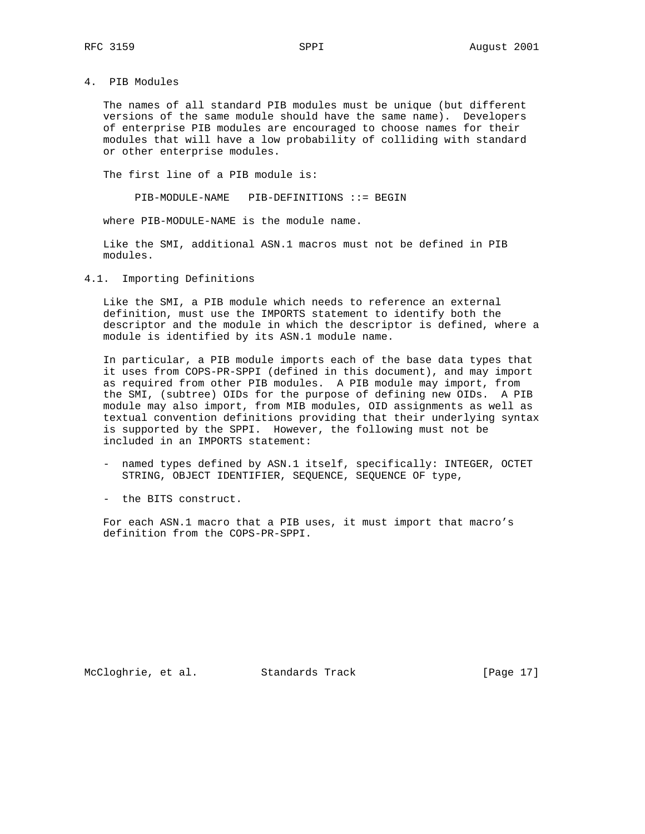4. PIB Modules

 The names of all standard PIB modules must be unique (but different versions of the same module should have the same name). Developers of enterprise PIB modules are encouraged to choose names for their modules that will have a low probability of colliding with standard or other enterprise modules.

The first line of a PIB module is:

PIB-MODULE-NAME PIB-DEFINITIONS ::= BEGIN

where PIB-MODULE-NAME is the module name.

 Like the SMI, additional ASN.1 macros must not be defined in PIB modules.

4.1. Importing Definitions

 Like the SMI, a PIB module which needs to reference an external definition, must use the IMPORTS statement to identify both the descriptor and the module in which the descriptor is defined, where a module is identified by its ASN.1 module name.

 In particular, a PIB module imports each of the base data types that it uses from COPS-PR-SPPI (defined in this document), and may import as required from other PIB modules. A PIB module may import, from the SMI, (subtree) OIDs for the purpose of defining new OIDs. A PIB module may also import, from MIB modules, OID assignments as well as textual convention definitions providing that their underlying syntax is supported by the SPPI. However, the following must not be included in an IMPORTS statement:

- named types defined by ASN.1 itself, specifically: INTEGER, OCTET STRING, OBJECT IDENTIFIER, SEQUENCE, SEQUENCE OF type,
- the BITS construct.

 For each ASN.1 macro that a PIB uses, it must import that macro's definition from the COPS-PR-SPPI.

McCloghrie, et al. Standards Track [Page 17]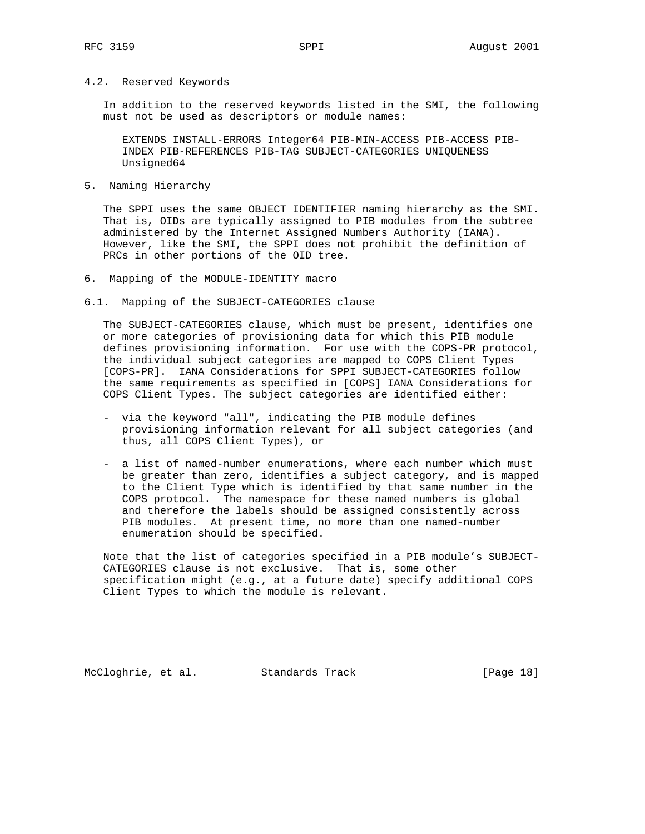#### 4.2. Reserved Keywords

 In addition to the reserved keywords listed in the SMI, the following must not be used as descriptors or module names:

 EXTENDS INSTALL-ERRORS Integer64 PIB-MIN-ACCESS PIB-ACCESS PIB- INDEX PIB-REFERENCES PIB-TAG SUBJECT-CATEGORIES UNIQUENESS Unsigned64

#### 5. Naming Hierarchy

 The SPPI uses the same OBJECT IDENTIFIER naming hierarchy as the SMI. That is, OIDs are typically assigned to PIB modules from the subtree administered by the Internet Assigned Numbers Authority (IANA). However, like the SMI, the SPPI does not prohibit the definition of PRCs in other portions of the OID tree.

- 6. Mapping of the MODULE-IDENTITY macro
- 6.1. Mapping of the SUBJECT-CATEGORIES clause

 The SUBJECT-CATEGORIES clause, which must be present, identifies one or more categories of provisioning data for which this PIB module defines provisioning information. For use with the COPS-PR protocol, the individual subject categories are mapped to COPS Client Types [COPS-PR]. IANA Considerations for SPPI SUBJECT-CATEGORIES follow the same requirements as specified in [COPS] IANA Considerations for COPS Client Types. The subject categories are identified either:

- via the keyword "all", indicating the PIB module defines provisioning information relevant for all subject categories (and thus, all COPS Client Types), or
- a list of named-number enumerations, where each number which must be greater than zero, identifies a subject category, and is mapped to the Client Type which is identified by that same number in the COPS protocol. The namespace for these named numbers is global and therefore the labels should be assigned consistently across PIB modules. At present time, no more than one named-number enumeration should be specified.

 Note that the list of categories specified in a PIB module's SUBJECT- CATEGORIES clause is not exclusive. That is, some other specification might (e.g., at a future date) specify additional COPS Client Types to which the module is relevant.

McCloghrie, et al. Standards Track [Page 18]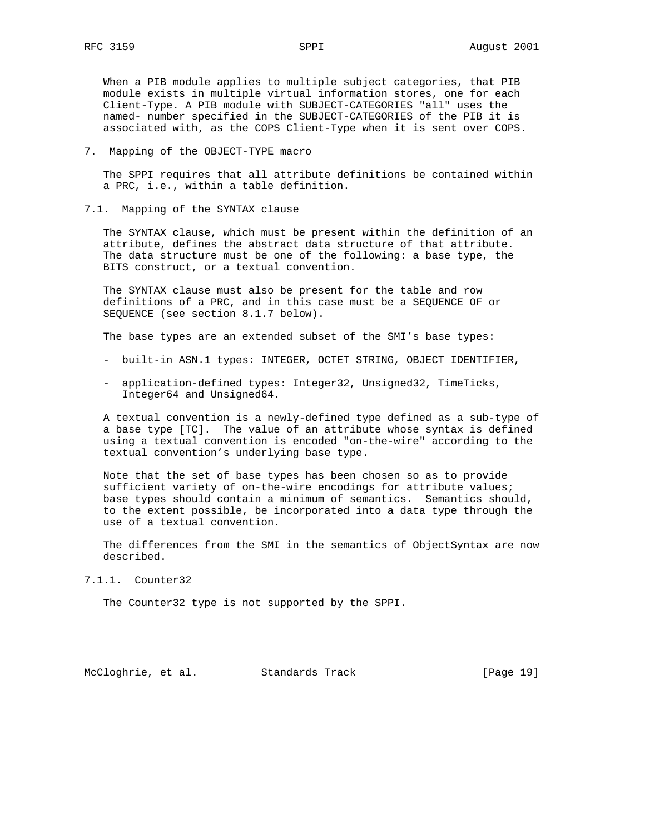When a PIB module applies to multiple subject categories, that PIB module exists in multiple virtual information stores, one for each Client-Type. A PIB module with SUBJECT-CATEGORIES "all" uses the named- number specified in the SUBJECT-CATEGORIES of the PIB it is associated with, as the COPS Client-Type when it is sent over COPS.

7. Mapping of the OBJECT-TYPE macro

 The SPPI requires that all attribute definitions be contained within a PRC, i.e., within a table definition.

7.1. Mapping of the SYNTAX clause

 The SYNTAX clause, which must be present within the definition of an attribute, defines the abstract data structure of that attribute. The data structure must be one of the following: a base type, the BITS construct, or a textual convention.

 The SYNTAX clause must also be present for the table and row definitions of a PRC, and in this case must be a SEQUENCE OF or SEQUENCE (see section 8.1.7 below).

The base types are an extended subset of the SMI's base types:

- built-in ASN.1 types: INTEGER, OCTET STRING, OBJECT IDENTIFIER,
- application-defined types: Integer32, Unsigned32, TimeTicks, Integer64 and Unsigned64.

 A textual convention is a newly-defined type defined as a sub-type of a base type [TC]. The value of an attribute whose syntax is defined using a textual convention is encoded "on-the-wire" according to the textual convention's underlying base type.

 Note that the set of base types has been chosen so as to provide sufficient variety of on-the-wire encodings for attribute values; base types should contain a minimum of semantics. Semantics should, to the extent possible, be incorporated into a data type through the use of a textual convention.

 The differences from the SMI in the semantics of ObjectSyntax are now described.

7.1.1. Counter32

The Counter32 type is not supported by the SPPI.

McCloghrie, et al. Standards Track [Page 19]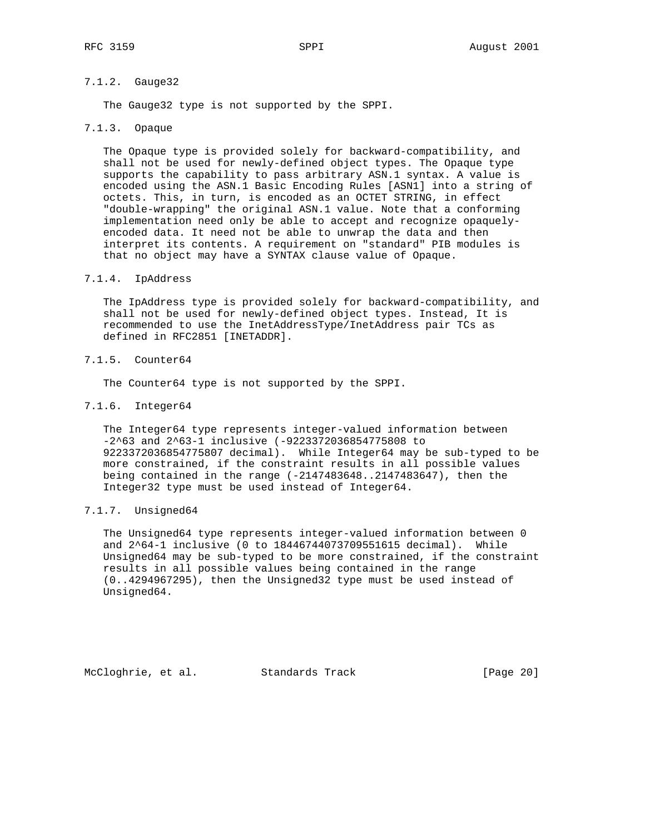## 7.1.2. Gauge32

The Gauge32 type is not supported by the SPPI.

## 7.1.3. Opaque

 The Opaque type is provided solely for backward-compatibility, and shall not be used for newly-defined object types. The Opaque type supports the capability to pass arbitrary ASN.1 syntax. A value is encoded using the ASN.1 Basic Encoding Rules [ASN1] into a string of octets. This, in turn, is encoded as an OCTET STRING, in effect "double-wrapping" the original ASN.1 value. Note that a conforming implementation need only be able to accept and recognize opaquely encoded data. It need not be able to unwrap the data and then interpret its contents. A requirement on "standard" PIB modules is that no object may have a SYNTAX clause value of Opaque.

### 7.1.4. IpAddress

 The IpAddress type is provided solely for backward-compatibility, and shall not be used for newly-defined object types. Instead, It is recommended to use the InetAddressType/InetAddress pair TCs as defined in RFC2851 [INETADDR].

## 7.1.5. Counter64

The Counter64 type is not supported by the SPPI.

## 7.1.6. Integer64

 The Integer64 type represents integer-valued information between -2^63 and 2^63-1 inclusive (-9223372036854775808 to 9223372036854775807 decimal). While Integer64 may be sub-typed to be more constrained, if the constraint results in all possible values being contained in the range (-2147483648..2147483647), then the Integer32 type must be used instead of Integer64.

## 7.1.7. Unsigned64

 The Unsigned64 type represents integer-valued information between 0 and 2^64-1 inclusive (0 to 18446744073709551615 decimal). While Unsigned64 may be sub-typed to be more constrained, if the constraint results in all possible values being contained in the range (0..4294967295), then the Unsigned32 type must be used instead of Unsigned64.

McCloghrie, et al. Standards Track [Page 20]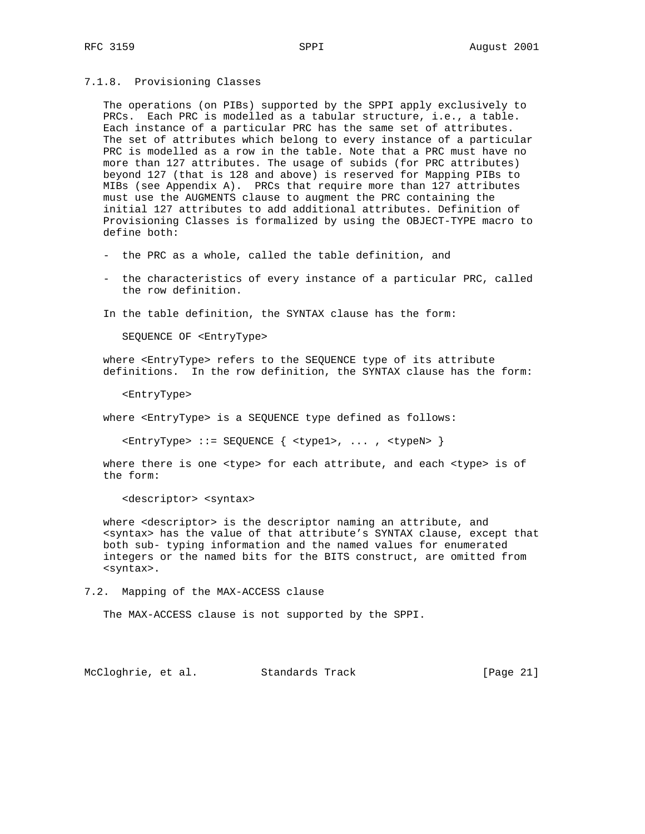7.1.8. Provisioning Classes

 The operations (on PIBs) supported by the SPPI apply exclusively to PRCs. Each PRC is modelled as a tabular structure, i.e., a table. Each instance of a particular PRC has the same set of attributes. The set of attributes which belong to every instance of a particular PRC is modelled as a row in the table. Note that a PRC must have no more than 127 attributes. The usage of subids (for PRC attributes) beyond 127 (that is 128 and above) is reserved for Mapping PIBs to MIBs (see Appendix A). PRCs that require more than 127 attributes must use the AUGMENTS clause to augment the PRC containing the initial 127 attributes to add additional attributes. Definition of Provisioning Classes is formalized by using the OBJECT-TYPE macro to define both:

- the PRC as a whole, called the table definition, and
- the characteristics of every instance of a particular PRC, called the row definition.

In the table definition, the SYNTAX clause has the form:

SEQUENCE OF <EntryType>

 where <EntryType> refers to the SEQUENCE type of its attribute definitions. In the row definition, the SYNTAX clause has the form:

<EntryType>

where <EntryType> is a SEQUENCE type defined as follows:

<EntryType> ::= SEQUENCE { <type1>, ... , <typeN> }

 where there is one <type> for each attribute, and each <type> is of the form:

<descriptor> <syntax>

where <descriptor> is the descriptor naming an attribute, and <syntax> has the value of that attribute's SYNTAX clause, except that both sub- typing information and the named values for enumerated integers or the named bits for the BITS construct, are omitted from <syntax>.

7.2. Mapping of the MAX-ACCESS clause

The MAX-ACCESS clause is not supported by the SPPI.

McCloghrie, et al. Standards Track [Page 21]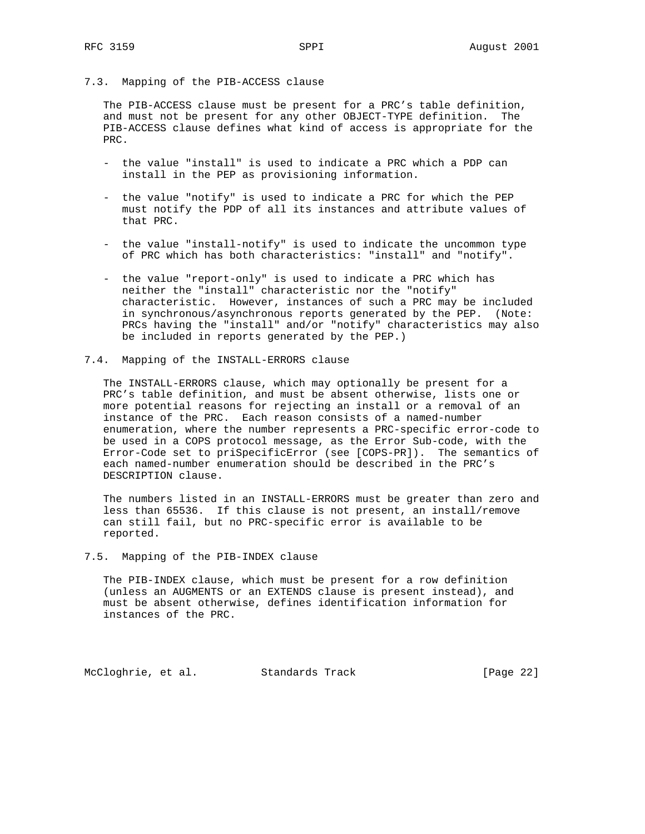### 7.3. Mapping of the PIB-ACCESS clause

 The PIB-ACCESS clause must be present for a PRC's table definition, and must not be present for any other OBJECT-TYPE definition. The PIB-ACCESS clause defines what kind of access is appropriate for the PRC.

- the value "install" is used to indicate a PRC which a PDP can install in the PEP as provisioning information.
- the value "notify" is used to indicate a PRC for which the PEP must notify the PDP of all its instances and attribute values of that PRC.
- the value "install-notify" is used to indicate the uncommon type of PRC which has both characteristics: "install" and "notify".
- the value "report-only" is used to indicate a PRC which has neither the "install" characteristic nor the "notify" characteristic. However, instances of such a PRC may be included in synchronous/asynchronous reports generated by the PEP. (Note: PRCs having the "install" and/or "notify" characteristics may also be included in reports generated by the PEP.)
- 7.4. Mapping of the INSTALL-ERRORS clause

 The INSTALL-ERRORS clause, which may optionally be present for a PRC's table definition, and must be absent otherwise, lists one or more potential reasons for rejecting an install or a removal of an instance of the PRC. Each reason consists of a named-number enumeration, where the number represents a PRC-specific error-code to be used in a COPS protocol message, as the Error Sub-code, with the Error-Code set to priSpecificError (see [COPS-PR]). The semantics of each named-number enumeration should be described in the PRC's DESCRIPTION clause.

 The numbers listed in an INSTALL-ERRORS must be greater than zero and less than 65536. If this clause is not present, an install/remove can still fail, but no PRC-specific error is available to be reported.

7.5. Mapping of the PIB-INDEX clause

 The PIB-INDEX clause, which must be present for a row definition (unless an AUGMENTS or an EXTENDS clause is present instead), and must be absent otherwise, defines identification information for instances of the PRC.

McCloghrie, et al. Standards Track [Page 22]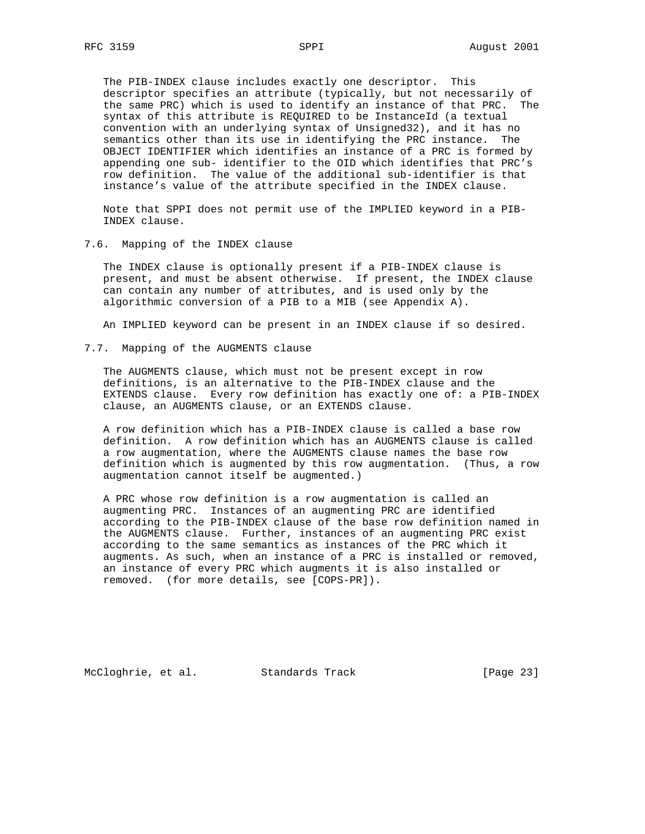The PIB-INDEX clause includes exactly one descriptor. This descriptor specifies an attribute (typically, but not necessarily of the same PRC) which is used to identify an instance of that PRC. The syntax of this attribute is REQUIRED to be InstanceId (a textual convention with an underlying syntax of Unsigned32), and it has no semantics other than its use in identifying the PRC instance. The OBJECT IDENTIFIER which identifies an instance of a PRC is formed by appending one sub- identifier to the OID which identifies that PRC's row definition. The value of the additional sub-identifier is that instance's value of the attribute specified in the INDEX clause.

 Note that SPPI does not permit use of the IMPLIED keyword in a PIB- INDEX clause.

7.6. Mapping of the INDEX clause

 The INDEX clause is optionally present if a PIB-INDEX clause is present, and must be absent otherwise. If present, the INDEX clause can contain any number of attributes, and is used only by the algorithmic conversion of a PIB to a MIB (see Appendix A).

An IMPLIED keyword can be present in an INDEX clause if so desired.

7.7. Mapping of the AUGMENTS clause

 The AUGMENTS clause, which must not be present except in row definitions, is an alternative to the PIB-INDEX clause and the EXTENDS clause. Every row definition has exactly one of: a PIB-INDEX clause, an AUGMENTS clause, or an EXTENDS clause.

 A row definition which has a PIB-INDEX clause is called a base row definition. A row definition which has an AUGMENTS clause is called a row augmentation, where the AUGMENTS clause names the base row definition which is augmented by this row augmentation. (Thus, a row augmentation cannot itself be augmented.)

 A PRC whose row definition is a row augmentation is called an augmenting PRC. Instances of an augmenting PRC are identified according to the PIB-INDEX clause of the base row definition named in the AUGMENTS clause. Further, instances of an augmenting PRC exist according to the same semantics as instances of the PRC which it augments. As such, when an instance of a PRC is installed or removed, an instance of every PRC which augments it is also installed or removed. (for more details, see [COPS-PR]).

McCloghrie, et al. Standards Track [Page 23]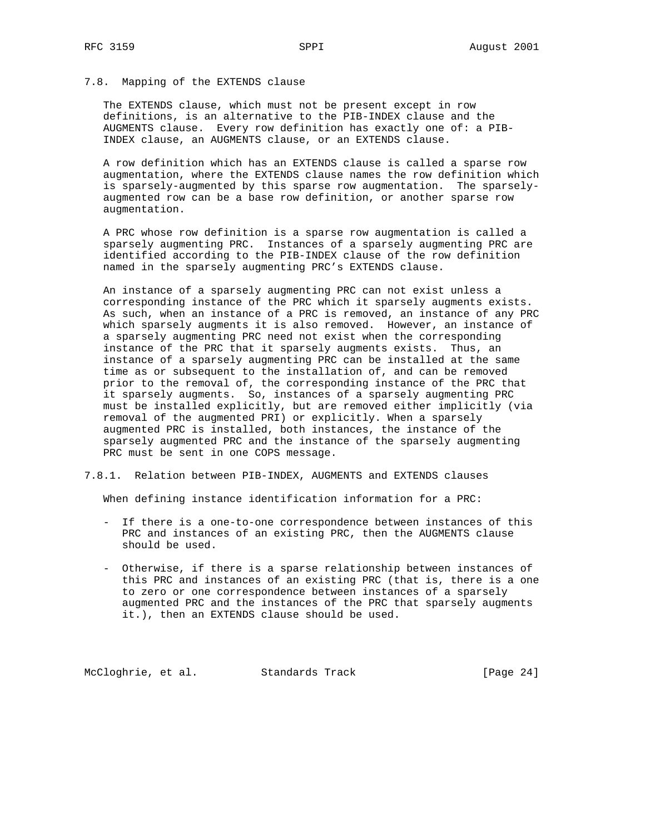### 7.8. Mapping of the EXTENDS clause

 The EXTENDS clause, which must not be present except in row definitions, is an alternative to the PIB-INDEX clause and the AUGMENTS clause. Every row definition has exactly one of: a PIB- INDEX clause, an AUGMENTS clause, or an EXTENDS clause.

 A row definition which has an EXTENDS clause is called a sparse row augmentation, where the EXTENDS clause names the row definition which is sparsely-augmented by this sparse row augmentation. The sparsely augmented row can be a base row definition, or another sparse row augmentation.

 A PRC whose row definition is a sparse row augmentation is called a sparsely augmenting PRC. Instances of a sparsely augmenting PRC are identified according to the PIB-INDEX clause of the row definition named in the sparsely augmenting PRC's EXTENDS clause.

 An instance of a sparsely augmenting PRC can not exist unless a corresponding instance of the PRC which it sparsely augments exists. As such, when an instance of a PRC is removed, an instance of any PRC which sparsely augments it is also removed. However, an instance of a sparsely augmenting PRC need not exist when the corresponding instance of the PRC that it sparsely augments exists. Thus, an instance of a sparsely augmenting PRC can be installed at the same time as or subsequent to the installation of, and can be removed prior to the removal of, the corresponding instance of the PRC that it sparsely augments. So, instances of a sparsely augmenting PRC must be installed explicitly, but are removed either implicitly (via removal of the augmented PRI) or explicitly. When a sparsely augmented PRC is installed, both instances, the instance of the sparsely augmented PRC and the instance of the sparsely augmenting PRC must be sent in one COPS message.

#### 7.8.1. Relation between PIB-INDEX, AUGMENTS and EXTENDS clauses

When defining instance identification information for a PRC:

- If there is a one-to-one correspondence between instances of this PRC and instances of an existing PRC, then the AUGMENTS clause should be used.
- Otherwise, if there is a sparse relationship between instances of this PRC and instances of an existing PRC (that is, there is a one to zero or one correspondence between instances of a sparsely augmented PRC and the instances of the PRC that sparsely augments it.), then an EXTENDS clause should be used.

McCloghrie, et al. Standards Track [Page 24]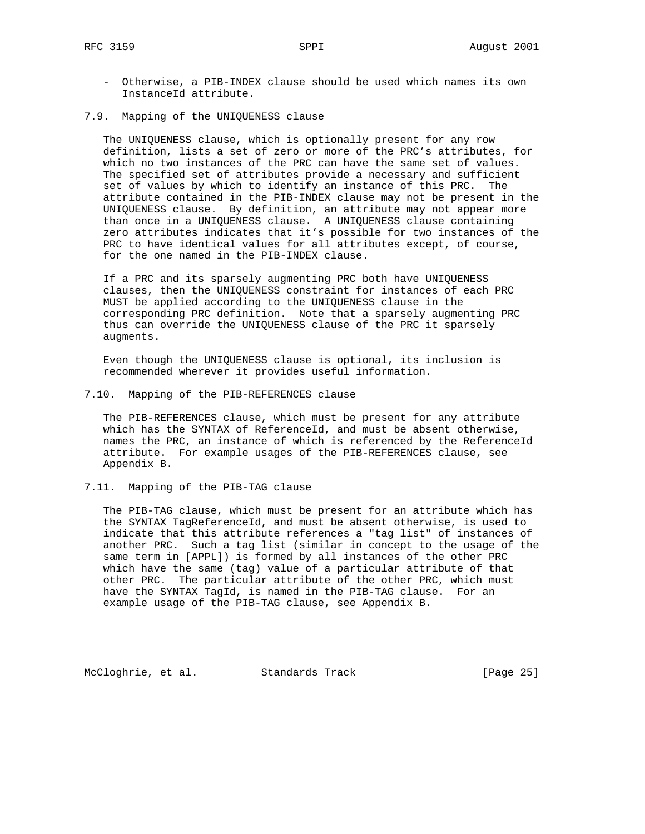- Otherwise, a PIB-INDEX clause should be used which names its own InstanceId attribute.
- 7.9. Mapping of the UNIQUENESS clause

 The UNIQUENESS clause, which is optionally present for any row definition, lists a set of zero or more of the PRC's attributes, for which no two instances of the PRC can have the same set of values. The specified set of attributes provide a necessary and sufficient set of values by which to identify an instance of this PRC. The attribute contained in the PIB-INDEX clause may not be present in the UNIQUENESS clause. By definition, an attribute may not appear more than once in a UNIQUENESS clause. A UNIQUENESS clause containing zero attributes indicates that it's possible for two instances of the PRC to have identical values for all attributes except, of course, for the one named in the PIB-INDEX clause.

 If a PRC and its sparsely augmenting PRC both have UNIQUENESS clauses, then the UNIQUENESS constraint for instances of each PRC MUST be applied according to the UNIQUENESS clause in the corresponding PRC definition. Note that a sparsely augmenting PRC thus can override the UNIQUENESS clause of the PRC it sparsely augments.

 Even though the UNIQUENESS clause is optional, its inclusion is recommended wherever it provides useful information.

7.10. Mapping of the PIB-REFERENCES clause

 The PIB-REFERENCES clause, which must be present for any attribute which has the SYNTAX of ReferenceId, and must be absent otherwise, names the PRC, an instance of which is referenced by the ReferenceId attribute. For example usages of the PIB-REFERENCES clause, see Appendix B.

7.11. Mapping of the PIB-TAG clause

 The PIB-TAG clause, which must be present for an attribute which has the SYNTAX TagReferenceId, and must be absent otherwise, is used to indicate that this attribute references a "tag list" of instances of another PRC. Such a tag list (similar in concept to the usage of the same term in [APPL]) is formed by all instances of the other PRC which have the same (tag) value of a particular attribute of that other PRC. The particular attribute of the other PRC, which must have the SYNTAX TagId, is named in the PIB-TAG clause. For an example usage of the PIB-TAG clause, see Appendix B.

McCloghrie, et al. Standards Track [Page 25]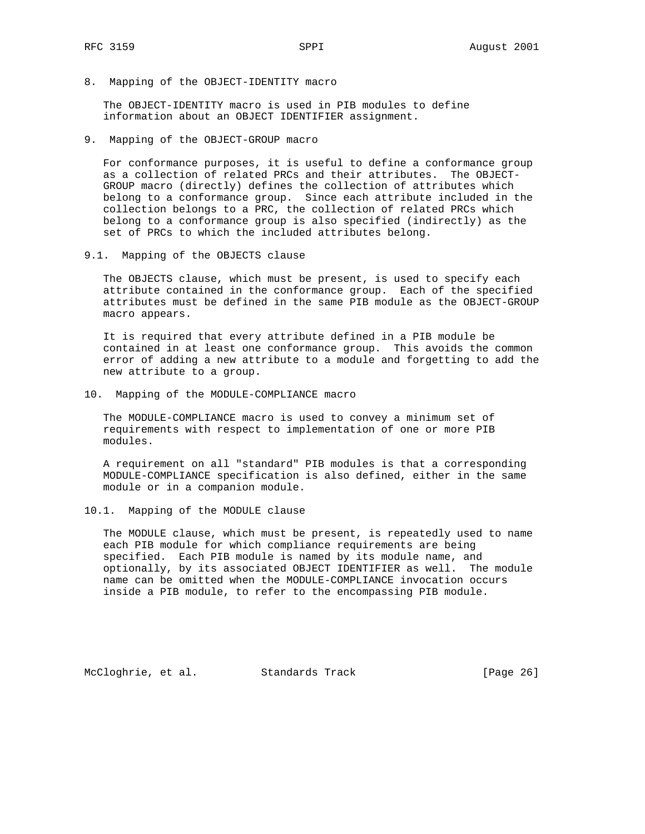8. Mapping of the OBJECT-IDENTITY macro

 The OBJECT-IDENTITY macro is used in PIB modules to define information about an OBJECT IDENTIFIER assignment.

9. Mapping of the OBJECT-GROUP macro

 For conformance purposes, it is useful to define a conformance group as a collection of related PRCs and their attributes. The OBJECT- GROUP macro (directly) defines the collection of attributes which belong to a conformance group. Since each attribute included in the collection belongs to a PRC, the collection of related PRCs which belong to a conformance group is also specified (indirectly) as the set of PRCs to which the included attributes belong.

9.1. Mapping of the OBJECTS clause

 The OBJECTS clause, which must be present, is used to specify each attribute contained in the conformance group. Each of the specified attributes must be defined in the same PIB module as the OBJECT-GROUP macro appears.

 It is required that every attribute defined in a PIB module be contained in at least one conformance group. This avoids the common error of adding a new attribute to a module and forgetting to add the new attribute to a group.

10. Mapping of the MODULE-COMPLIANCE macro

 The MODULE-COMPLIANCE macro is used to convey a minimum set of requirements with respect to implementation of one or more PIB modules.

 A requirement on all "standard" PIB modules is that a corresponding MODULE-COMPLIANCE specification is also defined, either in the same module or in a companion module.

10.1. Mapping of the MODULE clause

 The MODULE clause, which must be present, is repeatedly used to name each PIB module for which compliance requirements are being specified. Each PIB module is named by its module name, and optionally, by its associated OBJECT IDENTIFIER as well. The module name can be omitted when the MODULE-COMPLIANCE invocation occurs inside a PIB module, to refer to the encompassing PIB module.

McCloghrie, et al. Standards Track [Page 26]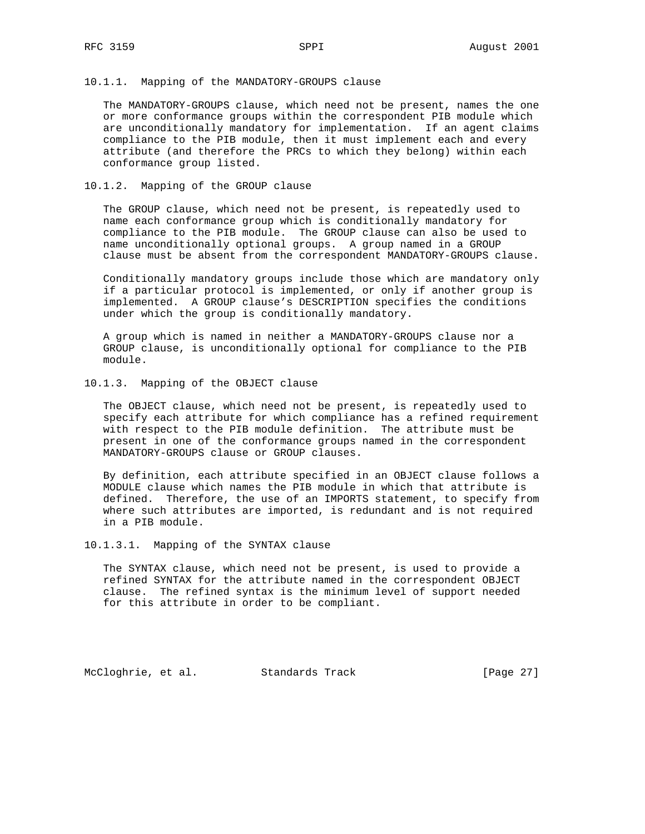#### 10.1.1. Mapping of the MANDATORY-GROUPS clause

 The MANDATORY-GROUPS clause, which need not be present, names the one or more conformance groups within the correspondent PIB module which are unconditionally mandatory for implementation. If an agent claims compliance to the PIB module, then it must implement each and every attribute (and therefore the PRCs to which they belong) within each conformance group listed.

### 10.1.2. Mapping of the GROUP clause

 The GROUP clause, which need not be present, is repeatedly used to name each conformance group which is conditionally mandatory for compliance to the PIB module. The GROUP clause can also be used to name unconditionally optional groups. A group named in a GROUP clause must be absent from the correspondent MANDATORY-GROUPS clause.

 Conditionally mandatory groups include those which are mandatory only if a particular protocol is implemented, or only if another group is implemented. A GROUP clause's DESCRIPTION specifies the conditions under which the group is conditionally mandatory.

 A group which is named in neither a MANDATORY-GROUPS clause nor a GROUP clause, is unconditionally optional for compliance to the PIB module.

10.1.3. Mapping of the OBJECT clause

 The OBJECT clause, which need not be present, is repeatedly used to specify each attribute for which compliance has a refined requirement with respect to the PIB module definition. The attribute must be present in one of the conformance groups named in the correspondent MANDATORY-GROUPS clause or GROUP clauses.

 By definition, each attribute specified in an OBJECT clause follows a MODULE clause which names the PIB module in which that attribute is defined. Therefore, the use of an IMPORTS statement, to specify from where such attributes are imported, is redundant and is not required in a PIB module.

10.1.3.1. Mapping of the SYNTAX clause

 The SYNTAX clause, which need not be present, is used to provide a refined SYNTAX for the attribute named in the correspondent OBJECT clause. The refined syntax is the minimum level of support needed for this attribute in order to be compliant.

McCloghrie, et al. Standards Track [Page 27]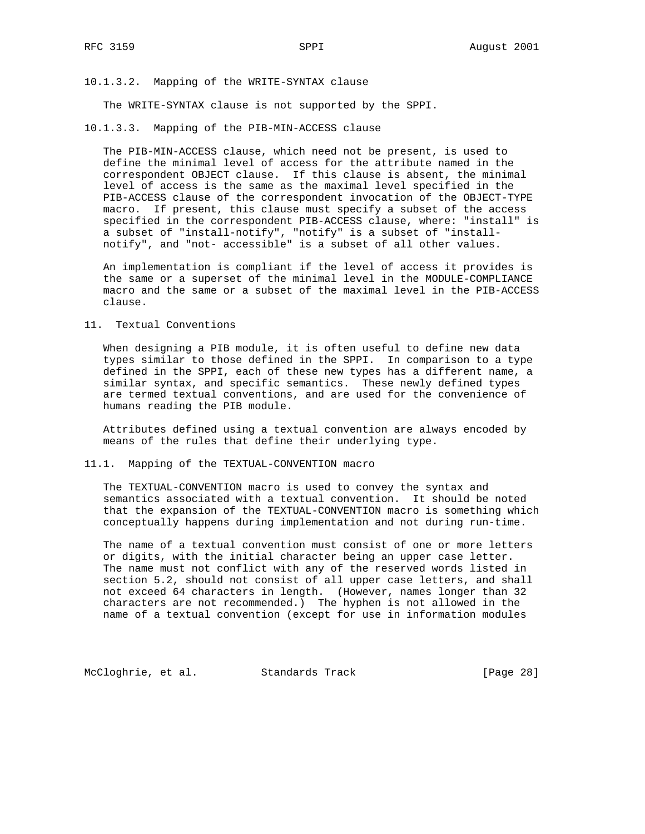10.1.3.2. Mapping of the WRITE-SYNTAX clause

The WRITE-SYNTAX clause is not supported by the SPPI.

10.1.3.3. Mapping of the PIB-MIN-ACCESS clause

 The PIB-MIN-ACCESS clause, which need not be present, is used to define the minimal level of access for the attribute named in the correspondent OBJECT clause. If this clause is absent, the minimal level of access is the same as the maximal level specified in the PIB-ACCESS clause of the correspondent invocation of the OBJECT-TYPE macro. If present, this clause must specify a subset of the access specified in the correspondent PIB-ACCESS clause, where: "install" is a subset of "install-notify", "notify" is a subset of "install notify", and "not- accessible" is a subset of all other values.

 An implementation is compliant if the level of access it provides is the same or a superset of the minimal level in the MODULE-COMPLIANCE macro and the same or a subset of the maximal level in the PIB-ACCESS clause.

11. Textual Conventions

 When designing a PIB module, it is often useful to define new data types similar to those defined in the SPPI. In comparison to a type defined in the SPPI, each of these new types has a different name, a similar syntax, and specific semantics. These newly defined types are termed textual conventions, and are used for the convenience of humans reading the PIB module.

 Attributes defined using a textual convention are always encoded by means of the rules that define their underlying type.

11.1. Mapping of the TEXTUAL-CONVENTION macro

 The TEXTUAL-CONVENTION macro is used to convey the syntax and semantics associated with a textual convention. It should be noted that the expansion of the TEXTUAL-CONVENTION macro is something which conceptually happens during implementation and not during run-time.

 The name of a textual convention must consist of one or more letters or digits, with the initial character being an upper case letter. The name must not conflict with any of the reserved words listed in section 5.2, should not consist of all upper case letters, and shall not exceed 64 characters in length. (However, names longer than 32 characters are not recommended.) The hyphen is not allowed in the name of a textual convention (except for use in information modules

McCloghrie, et al. Standards Track [Page 28]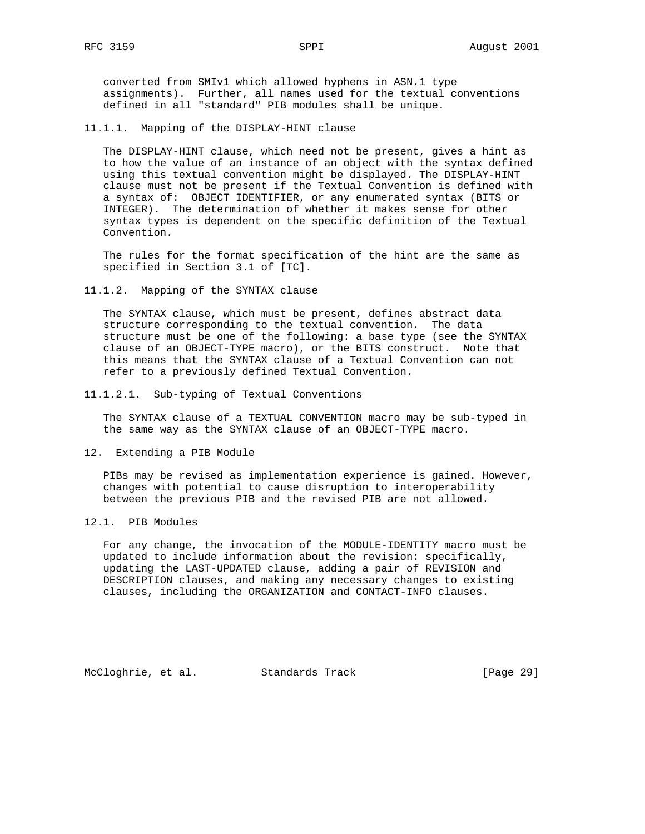converted from SMIv1 which allowed hyphens in ASN.1 type assignments). Further, all names used for the textual conventions defined in all "standard" PIB modules shall be unique.

11.1.1. Mapping of the DISPLAY-HINT clause

 The DISPLAY-HINT clause, which need not be present, gives a hint as to how the value of an instance of an object with the syntax defined using this textual convention might be displayed. The DISPLAY-HINT clause must not be present if the Textual Convention is defined with a syntax of: OBJECT IDENTIFIER, or any enumerated syntax (BITS or INTEGER). The determination of whether it makes sense for other syntax types is dependent on the specific definition of the Textual Convention.

 The rules for the format specification of the hint are the same as specified in Section 3.1 of [TC].

11.1.2. Mapping of the SYNTAX clause

 The SYNTAX clause, which must be present, defines abstract data structure corresponding to the textual convention. The data structure must be one of the following: a base type (see the SYNTAX clause of an OBJECT-TYPE macro), or the BITS construct. Note that this means that the SYNTAX clause of a Textual Convention can not refer to a previously defined Textual Convention.

11.1.2.1. Sub-typing of Textual Conventions

 The SYNTAX clause of a TEXTUAL CONVENTION macro may be sub-typed in the same way as the SYNTAX clause of an OBJECT-TYPE macro.

12. Extending a PIB Module

 PIBs may be revised as implementation experience is gained. However, changes with potential to cause disruption to interoperability between the previous PIB and the revised PIB are not allowed.

12.1. PIB Modules

 For any change, the invocation of the MODULE-IDENTITY macro must be updated to include information about the revision: specifically, updating the LAST-UPDATED clause, adding a pair of REVISION and DESCRIPTION clauses, and making any necessary changes to existing clauses, including the ORGANIZATION and CONTACT-INFO clauses.

McCloghrie, et al. Standards Track [Page 29]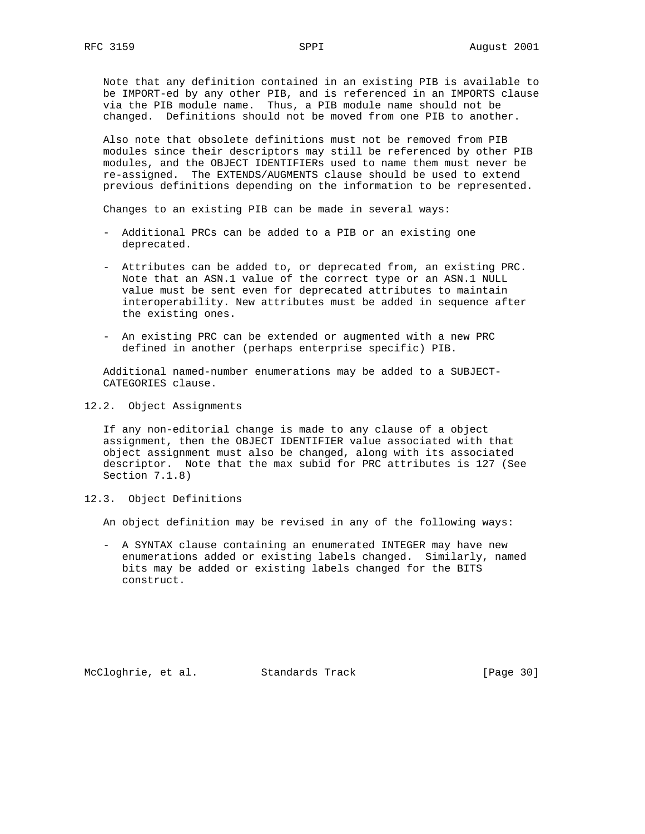Note that any definition contained in an existing PIB is available to be IMPORT-ed by any other PIB, and is referenced in an IMPORTS clause via the PIB module name. Thus, a PIB module name should not be changed. Definitions should not be moved from one PIB to another.

 Also note that obsolete definitions must not be removed from PIB modules since their descriptors may still be referenced by other PIB modules, and the OBJECT IDENTIFIERs used to name them must never be re-assigned. The EXTENDS/AUGMENTS clause should be used to extend previous definitions depending on the information to be represented.

Changes to an existing PIB can be made in several ways:

- Additional PRCs can be added to a PIB or an existing one deprecated.
- Attributes can be added to, or deprecated from, an existing PRC. Note that an ASN.1 value of the correct type or an ASN.1 NULL value must be sent even for deprecated attributes to maintain interoperability. New attributes must be added in sequence after the existing ones.
- An existing PRC can be extended or augmented with a new PRC defined in another (perhaps enterprise specific) PIB.

 Additional named-number enumerations may be added to a SUBJECT- CATEGORIES clause.

12.2. Object Assignments

 If any non-editorial change is made to any clause of a object assignment, then the OBJECT IDENTIFIER value associated with that object assignment must also be changed, along with its associated descriptor. Note that the max subid for PRC attributes is 127 (See Section 7.1.8)

12.3. Object Definitions

An object definition may be revised in any of the following ways:

 - A SYNTAX clause containing an enumerated INTEGER may have new enumerations added or existing labels changed. Similarly, named bits may be added or existing labels changed for the BITS construct.

McCloghrie, et al. Standards Track [Page 30]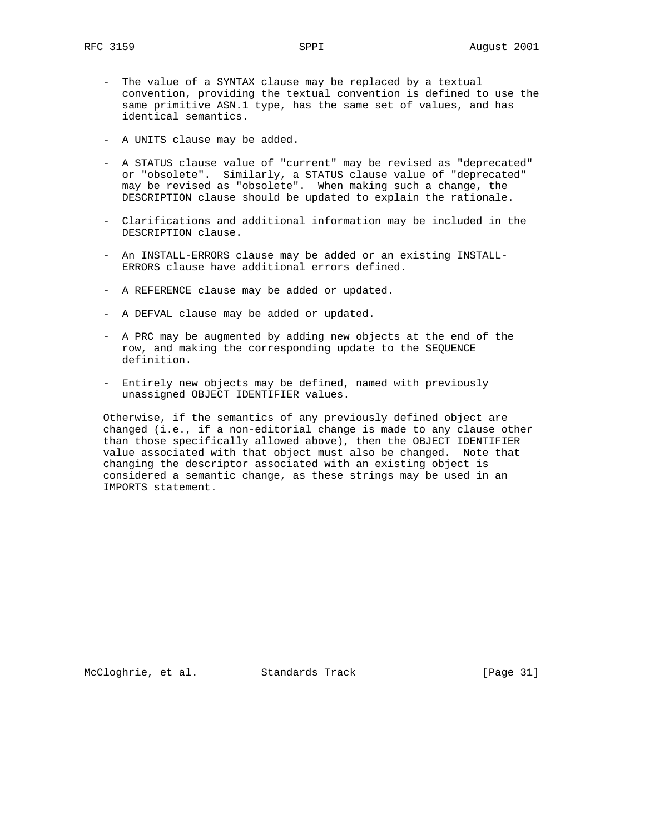- The value of a SYNTAX clause may be replaced by a textual convention, providing the textual convention is defined to use the same primitive ASN.1 type, has the same set of values, and has identical semantics.
- A UNITS clause may be added.
- A STATUS clause value of "current" may be revised as "deprecated" or "obsolete". Similarly, a STATUS clause value of "deprecated" may be revised as "obsolete". When making such a change, the DESCRIPTION clause should be updated to explain the rationale.
- Clarifications and additional information may be included in the DESCRIPTION clause.
- An INSTALL-ERRORS clause may be added or an existing INSTALL- ERRORS clause have additional errors defined.
- A REFERENCE clause may be added or updated.
- A DEFVAL clause may be added or updated.
- A PRC may be augmented by adding new objects at the end of the row, and making the corresponding update to the SEQUENCE definition.
- Entirely new objects may be defined, named with previously unassigned OBJECT IDENTIFIER values.

 Otherwise, if the semantics of any previously defined object are changed (i.e., if a non-editorial change is made to any clause other than those specifically allowed above), then the OBJECT IDENTIFIER value associated with that object must also be changed. Note that changing the descriptor associated with an existing object is considered a semantic change, as these strings may be used in an IMPORTS statement.

McCloghrie, et al. Standards Track [Page 31]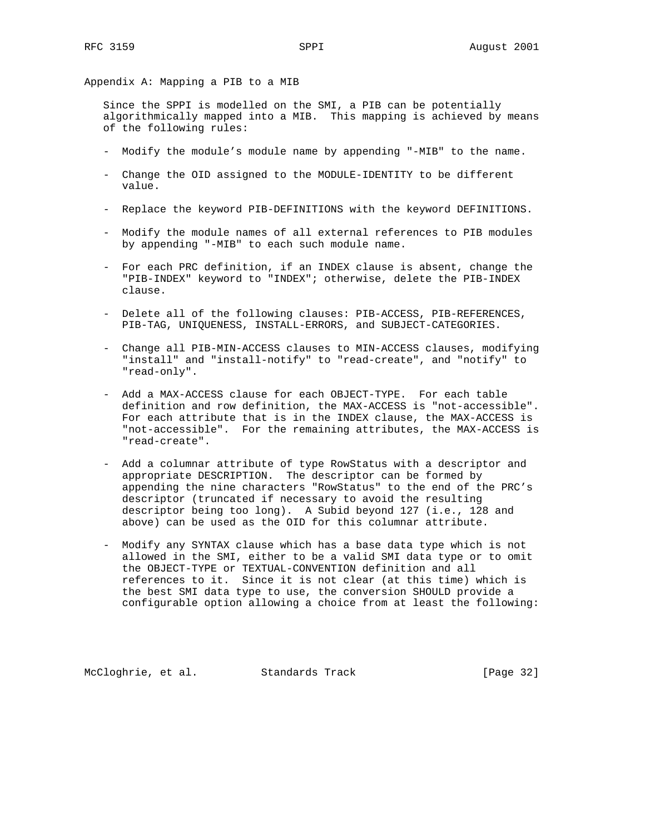Appendix A: Mapping a PIB to a MIB

 Since the SPPI is modelled on the SMI, a PIB can be potentially algorithmically mapped into a MIB. This mapping is achieved by means of the following rules:

- Modify the module's module name by appending "-MIB" to the name.
- Change the OID assigned to the MODULE-IDENTITY to be different value.
- Replace the keyword PIB-DEFINITIONS with the keyword DEFINITIONS.
- Modify the module names of all external references to PIB modules by appending "-MIB" to each such module name.
- For each PRC definition, if an INDEX clause is absent, change the "PIB-INDEX" keyword to "INDEX"; otherwise, delete the PIB-INDEX clause.
- Delete all of the following clauses: PIB-ACCESS, PIB-REFERENCES, PIB-TAG, UNIQUENESS, INSTALL-ERRORS, and SUBJECT-CATEGORIES.
- Change all PIB-MIN-ACCESS clauses to MIN-ACCESS clauses, modifying "install" and "install-notify" to "read-create", and "notify" to "read-only".
- Add a MAX-ACCESS clause for each OBJECT-TYPE. For each table definition and row definition, the MAX-ACCESS is "not-accessible". For each attribute that is in the INDEX clause, the MAX-ACCESS is "not-accessible". For the remaining attributes, the MAX-ACCESS is "read-create".
- Add a columnar attribute of type RowStatus with a descriptor and appropriate DESCRIPTION. The descriptor can be formed by appending the nine characters "RowStatus" to the end of the PRC's descriptor (truncated if necessary to avoid the resulting descriptor being too long). A Subid beyond 127 (i.e., 128 and above) can be used as the OID for this columnar attribute.
- Modify any SYNTAX clause which has a base data type which is not allowed in the SMI, either to be a valid SMI data type or to omit the OBJECT-TYPE or TEXTUAL-CONVENTION definition and all references to it. Since it is not clear (at this time) which is the best SMI data type to use, the conversion SHOULD provide a configurable option allowing a choice from at least the following:

McCloghrie, et al. Standards Track [Page 32]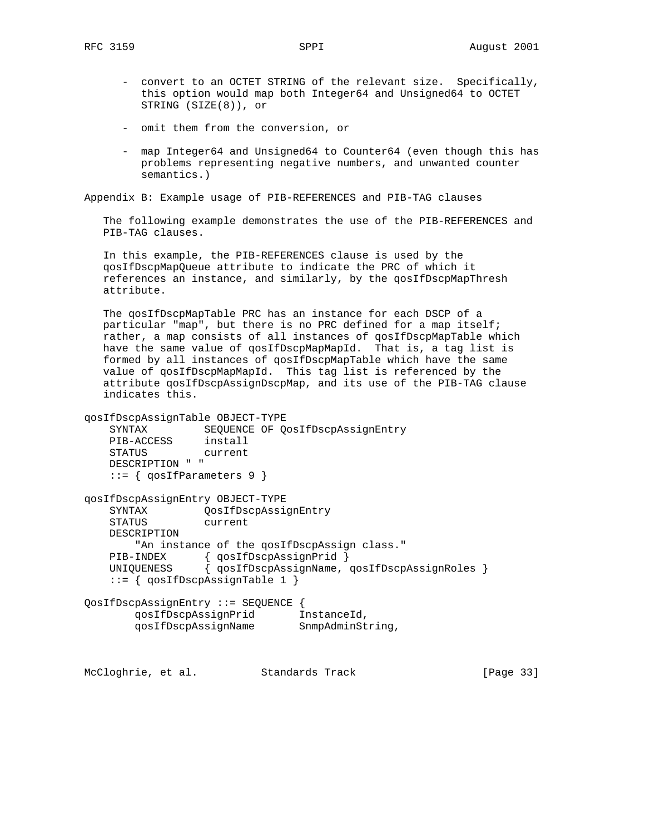- convert to an OCTET STRING of the relevant size. Specifically, this option would map both Integer64 and Unsigned64 to OCTET STRING (SIZE(8)), or
- omit them from the conversion, or
- map Integer64 and Unsigned64 to Counter64 (even though this has problems representing negative numbers, and unwanted counter semantics.)

Appendix B: Example usage of PIB-REFERENCES and PIB-TAG clauses

 The following example demonstrates the use of the PIB-REFERENCES and PIB-TAG clauses.

 In this example, the PIB-REFERENCES clause is used by the qosIfDscpMapQueue attribute to indicate the PRC of which it references an instance, and similarly, by the qosIfDscpMapThresh attribute.

 The qosIfDscpMapTable PRC has an instance for each DSCP of a particular "map", but there is no PRC defined for a map itself; rather, a map consists of all instances of qosIfDscpMapTable which have the same value of qosIfDscpMapMapId. That is, a tag list is formed by all instances of qosIfDscpMapTable which have the same value of qosIfDscpMapMapId. This tag list is referenced by the attribute qosIfDscpAssignDscpMap, and its use of the PIB-TAG clause indicates this.

```
qosIfDscpAssignTable OBJECT-TYPE
    SYNTAX SEQUENCE OF QosIfDscpAssignEntry
    PIB-ACCESS install
    STATUS current
    DESCRIPTION " "
    ::= { qosIfParameters 9 }
qosIfDscpAssignEntry OBJECT-TYPE
    SYNTAX QosIfDscpAssignEntry
    STATUS current
    DESCRIPTION
       "An instance of the qosIfDscpAssign class."
    PIB-INDEX { qosIfDscpAssignPrid }
    UNIQUENESS { qosIfDscpAssignName, qosIfDscpAssignRoles }
    ::= { qosIfDscpAssignTable 1 }
QosIfDscpAssignEntry ::= SEQUENCE {
 qosIfDscpAssignPrid InstanceId,
 qosIfDscpAssignName SnmpAdminString,
```
McCloghrie, et al. Standards Track [Page 33]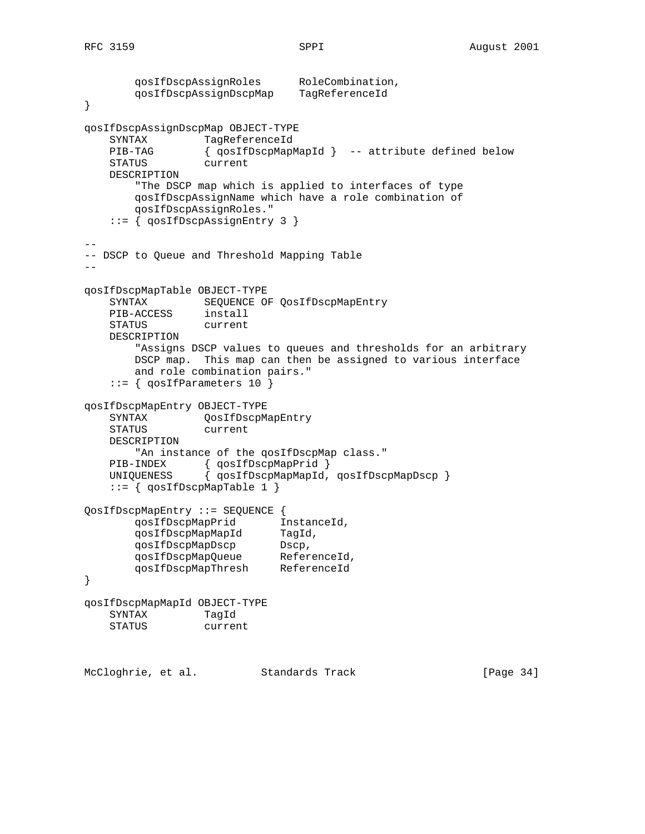```
 qosIfDscpAssignRoles RoleCombination,
 qosIfDscpAssignDscpMap TagReferenceId
}
qosIfDscpAssignDscpMap OBJECT-TYPE
   SYNTAX TagReferenceId
    PIB-TAG { qosIfDscpMapMapId } -- attribute defined below
    STATUS current
    DESCRIPTION
        "The DSCP map which is applied to interfaces of type
        qosIfDscpAssignName which have a role combination of
        qosIfDscpAssignRoles."
    ::= { qosIfDscpAssignEntry 3 }
--
-- DSCP to Queue and Threshold Mapping Table
- -qosIfDscpMapTable OBJECT-TYPE
    SYNTAX SEQUENCE OF QosIfDscpMapEntry
    PIB-ACCESS install
    STATUS current
    DESCRIPTION
        "Assigns DSCP values to queues and thresholds for an arbitrary
        DSCP map. This map can then be assigned to various interface
        and role combination pairs."
    ::= { qosIfParameters 10 }
qosIfDscpMapEntry OBJECT-TYPE
    SYNTAX QosIfDscpMapEntry
    STATUS current
    DESCRIPTION
       "An instance of the qosIfDscpMap class."
   PIB-INDEX { qosIfDscpMapPrid }<br>UNIQUENESS { qosIfDscpMapMapId,
                \{ qosIfDscpMapMapId, qosIfDscpMapDscp \} ::= { qosIfDscpMapTable 1 }
QosIfDscpMapEntry ::= SEQUENCE {
 qosIfDscpMapPrid InstanceId,
 qosIfDscpMapMapId TagId,
 qosIfDscpMapDscp Dscp,
 qosIfDscpMapQueue ReferenceId,
 qosIfDscpMapThresh ReferenceId
}
qosIfDscpMapMapId OBJECT-TYPE
    SYNTAX TagId
    STATUS current
McCloghrie, et al. Standards Track [Page 34]
```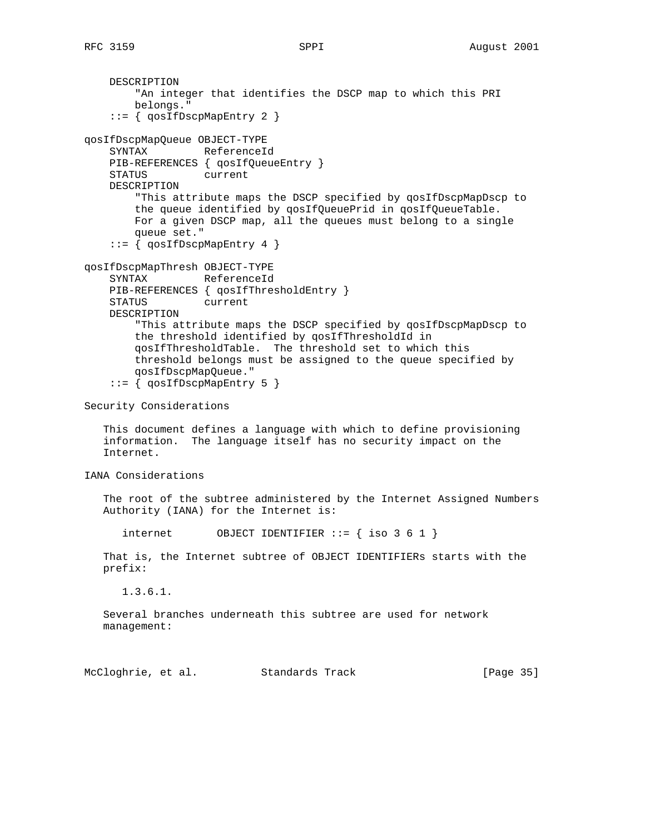DESCRIPTION "An integer that identifies the DSCP map to which this PRI belongs." ::= { qosIfDscpMapEntry 2 } qosIfDscpMapQueue OBJECT-TYPE SYNTAX ReferenceId PIB-REFERENCES { qosIfQueueEntry } STATUS current DESCRIPTION "This attribute maps the DSCP specified by qosIfDscpMapDscp to the queue identified by qosIfQueuePrid in qosIfQueueTable. For a given DSCP map, all the queues must belong to a single queue set." ::= { qosIfDscpMapEntry 4 } qosIfDscpMapThresh OBJECT-TYPE SYNTAX ReferenceId PIB-REFERENCES { qosIfThresholdEntry } STATUS current DESCRIPTION "This attribute maps the DSCP specified by qosIfDscpMapDscp to the threshold identified by qosIfThresholdId in qosIfThresholdTable. The threshold set to which this threshold belongs must be assigned to the queue specified by qosIfDscpMapQueue." ::= { qosIfDscpMapEntry 5 } Security Considerations

 This document defines a language with which to define provisioning information. The language itself has no security impact on the Internet.

IANA Considerations

 The root of the subtree administered by the Internet Assigned Numbers Authority (IANA) for the Internet is:

internet  $OBJECT IDENTIFIER :: = { iso 3 6 1 }$ 

 That is, the Internet subtree of OBJECT IDENTIFIERs starts with the prefix:

1.3.6.1.

 Several branches underneath this subtree are used for network management:

McCloghrie, et al. Standards Track [Page 35]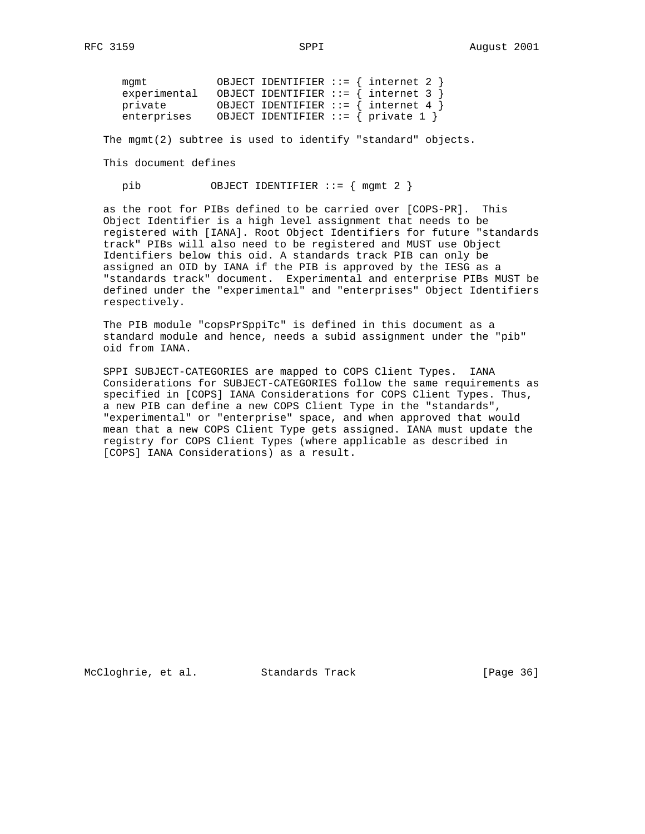| mamt         |  | OBJECT IDENTIFIER ::= $\{$ internet 2 $\}$ |
|--------------|--|--------------------------------------------|
| experimental |  | OBJECT IDENTIFIER ::= $\{$ internet 3 $\}$ |
| private      |  | OBJECT IDENTIFIER ::= $\{$ internet 4 $\}$ |
| enterprises  |  | OBJECT IDENTIFIER ::= { private 1 }        |

The mgmt(2) subtree is used to identify "standard" objects.

#### This document defines

pib 0BJECT IDENTIFIER ::= { mgmt 2 }

 as the root for PIBs defined to be carried over [COPS-PR]. This Object Identifier is a high level assignment that needs to be registered with [IANA]. Root Object Identifiers for future "standards track" PIBs will also need to be registered and MUST use Object Identifiers below this oid. A standards track PIB can only be assigned an OID by IANA if the PIB is approved by the IESG as a "standards track" document. Experimental and enterprise PIBs MUST be defined under the "experimental" and "enterprises" Object Identifiers respectively.

 The PIB module "copsPrSppiTc" is defined in this document as a standard module and hence, needs a subid assignment under the "pib" oid from IANA.

 SPPI SUBJECT-CATEGORIES are mapped to COPS Client Types. IANA Considerations for SUBJECT-CATEGORIES follow the same requirements as specified in [COPS] IANA Considerations for COPS Client Types. Thus, a new PIB can define a new COPS Client Type in the "standards", "experimental" or "enterprise" space, and when approved that would mean that a new COPS Client Type gets assigned. IANA must update the registry for COPS Client Types (where applicable as described in [COPS] IANA Considerations) as a result.

McCloghrie, et al. Standards Track [Page 36]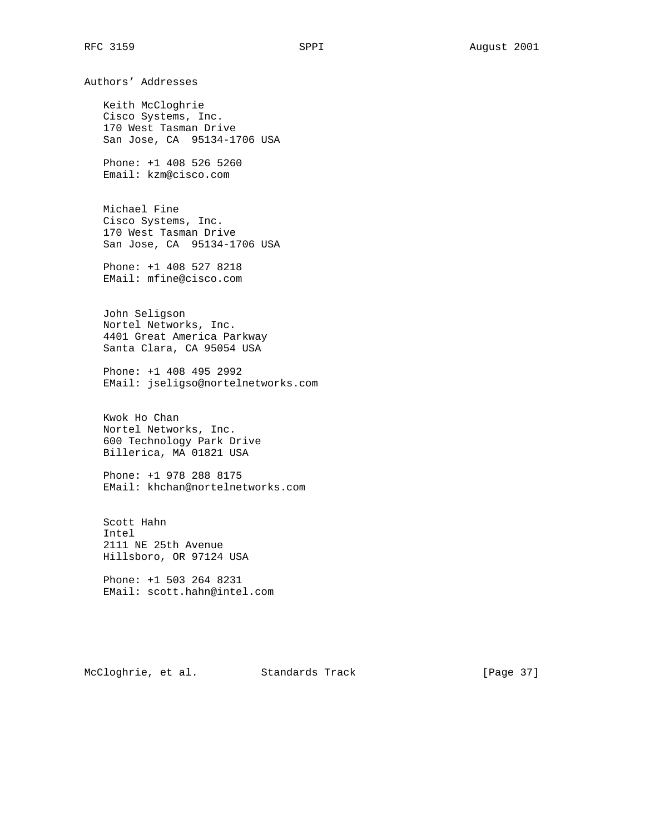RFC 3159 SPPI SPPI August 2001 Authors' Addresses Keith McCloghrie Cisco Systems, Inc. 170 West Tasman Drive San Jose, CA 95134-1706 USA Phone: +1 408 526 5260 Email: kzm@cisco.com Michael Fine Cisco Systems, Inc. 170 West Tasman Drive San Jose, CA 95134-1706 USA Phone: +1 408 527 8218 EMail: mfine@cisco.com John Seligson Nortel Networks, Inc. 4401 Great America Parkway Santa Clara, CA 95054 USA Phone: +1 408 495 2992 EMail: jseligso@nortelnetworks.com Kwok Ho Chan Nortel Networks, Inc. 600 Technology Park Drive Billerica, MA 01821 USA Phone: +1 978 288 8175 EMail: khchan@nortelnetworks.com Scott Hahn Intel 2111 NE 25th Avenue Hillsboro, OR 97124 USA Phone: +1 503 264 8231 EMail: scott.hahn@intel.com McCloghrie, et al. Standards Track [Page 37]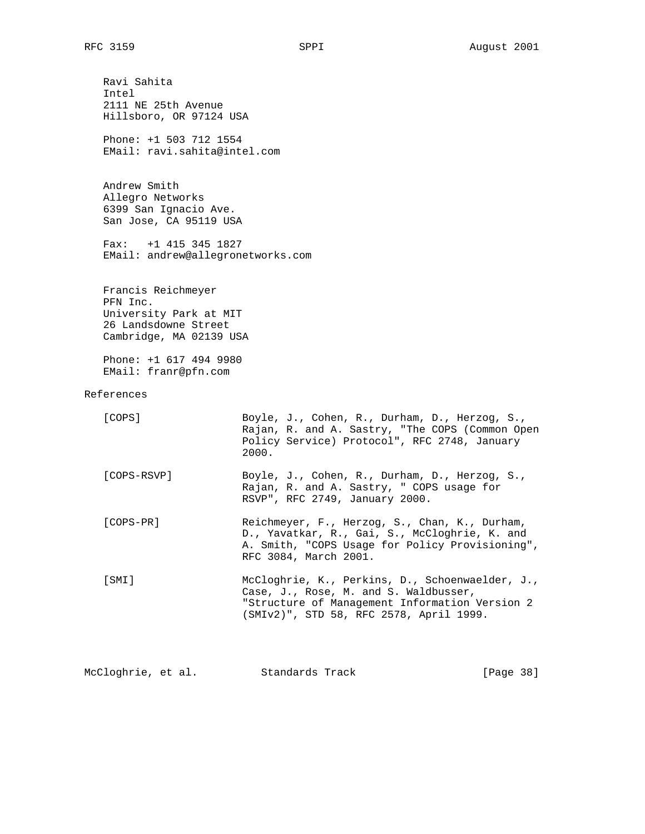Ravi Sahita Intel 2111 NE 25th Avenue Hillsboro, OR 97124 USA Phone: +1 503 712 1554 EMail: ravi.sahita@intel.com Andrew Smith Allegro Networks 6399 San Ignacio Ave. San Jose, CA 95119 USA Fax: +1 415 345 1827 EMail: andrew@allegronetworks.com Francis Reichmeyer PFN Inc. University Park at MIT 26 Landsdowne Street Cambridge, MA 02139 USA Phone: +1 617 494 9980 EMail: franr@pfn.com References [COPS] Boyle, J., Cohen, R., Durham, D., Herzog, S., Rajan, R. and A. Sastry, "The COPS (Common Open Policy Service) Protocol", RFC 2748, January 2000. [COPS-RSVP] Boyle, J., Cohen, R., Durham, D., Herzog, S., Rajan, R. and A. Sastry, " COPS usage for RSVP", RFC 2749, January 2000. [COPS-PR] Reichmeyer, F., Herzog, S., Chan, K., Durham, D., Yavatkar, R., Gai, S., McCloghrie, K. and A. Smith, "COPS Usage for Policy Provisioning", RFC 3084, March 2001. [SMI] McCloghrie, K., Perkins, D., Schoenwaelder, J., Case, J., Rose, M. and S. Waldbusser, "Structure of Management Information Version 2 (SMIv2)", STD 58, RFC 2578, April 1999.

McCloghrie, et al. Standards Track [Page 38]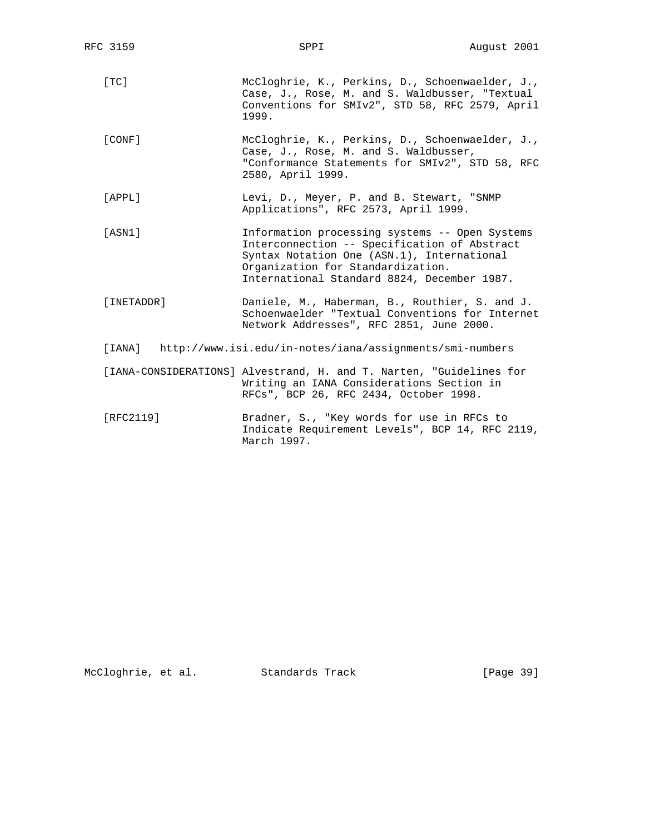| RFC 3159                                                           | SPPI                                                                                                                                                                                                                             | August 2001 |  |
|--------------------------------------------------------------------|----------------------------------------------------------------------------------------------------------------------------------------------------------------------------------------------------------------------------------|-------------|--|
| [TC]                                                               | McCloghrie, K., Perkins, D., Schoenwaelder, J.,<br>Case, J., Rose, M. and S. Waldbusser, "Textual<br>Conventions for SMIv2", STD 58, RFC 2579, April<br>1999.                                                                    |             |  |
| [CONF]                                                             | McCloghrie, K., Perkins, D., Schoenwaelder, J.,<br>Case, J., Rose, M. and S. Waldbusser,<br>"Conformance Statements for SMIv2", STD 58, RFC<br>2580, April 1999.                                                                 |             |  |
| [APPL]                                                             | Levi, D., Meyer, P. and B. Stewart, "SNMP<br>Applications", RFC 2573, April 1999.                                                                                                                                                |             |  |
| [ASN1]                                                             | Information processing systems -- Open Systems<br>Interconnection -- Specification of Abstract<br>Syntax Notation One (ASN.1), International<br>Organization for Standardization.<br>International Standard 8824, December 1987. |             |  |
| [INETADDR]                                                         | Daniele, M., Haberman, B., Routhier, S. and J.<br>Schoenwaelder "Textual Conventions for Internet<br>Network Addresses", RFC 2851, June 2000.                                                                                    |             |  |
| http://www.isi.edu/in-notes/iana/assignments/smi-numbers<br>[IANA] |                                                                                                                                                                                                                                  |             |  |
|                                                                    | [IANA-CONSIDERATIONS] Alvestrand, H. and T. Narten, "Guidelines for<br>Writing an IANA Considerations Section in<br>RFCs", BCP 26, RFC 2434, October 1998.                                                                       |             |  |
| [RFC2119]                                                          | Bradner, S., "Key words for use in RFCs to<br>Indicate Requirement Levels", BCP 14, RFC 2119,<br>March 1997.                                                                                                                     |             |  |